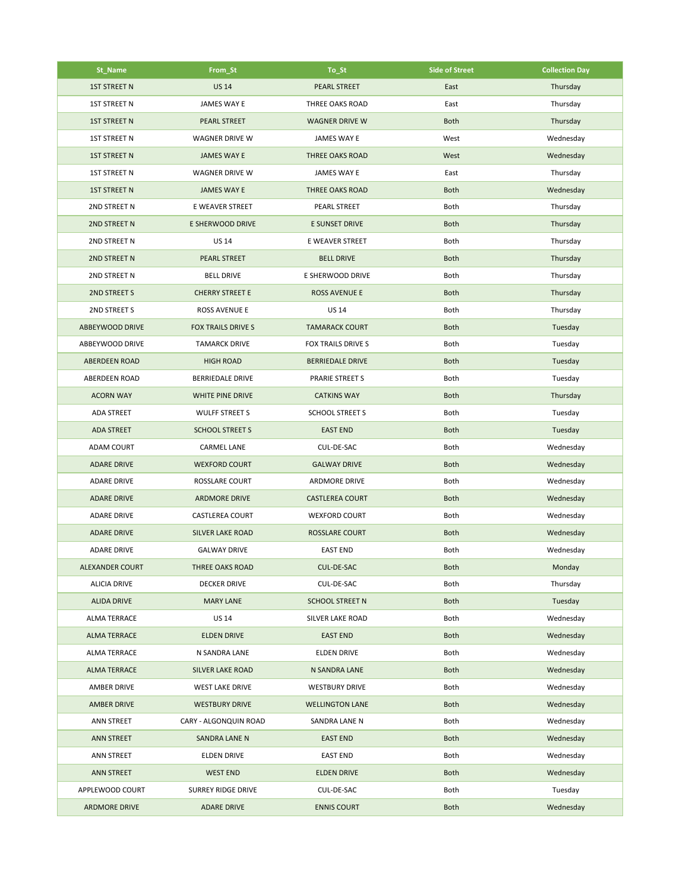| St_Name              | From_St                   | To_St                   | <b>Side of Street</b> | <b>Collection Day</b> |
|----------------------|---------------------------|-------------------------|-----------------------|-----------------------|
| <b>1ST STREET N</b>  | <b>US 14</b>              | <b>PEARL STREET</b>     | East                  | Thursday              |
| <b>1ST STREET N</b>  | JAMES WAY E               | THREE OAKS ROAD         | East                  | Thursday              |
| <b>1ST STREET N</b>  | <b>PEARL STREET</b>       | <b>WAGNER DRIVE W</b>   | <b>Both</b>           | Thursday              |
| <b>1ST STREET N</b>  | <b>WAGNER DRIVE W</b>     | JAMES WAY E             | West                  | Wednesday             |
| <b>1ST STREET N</b>  | <b>JAMES WAY E</b>        | <b>THREE OAKS ROAD</b>  | West                  | Wednesday             |
| <b>1ST STREET N</b>  | WAGNER DRIVE W            | JAMES WAY E             | East                  | Thursday              |
| <b>1ST STREET N</b>  | JAMES WAY E               | <b>THREE OAKS ROAD</b>  | <b>Both</b>           | Wednesday             |
| 2ND STREET N         | E WEAVER STREET           | PEARL STREET            | Both                  | Thursday              |
| <b>2ND STREET N</b>  | E SHERWOOD DRIVE          | E SUNSET DRIVE          | <b>Both</b>           | Thursday              |
| 2ND STREET N         | <b>US 14</b>              | E WEAVER STREET         | Both                  | Thursday              |
| 2ND STREET N         | PEARL STREET              | <b>BELL DRIVE</b>       | <b>Both</b>           | Thursday              |
| 2ND STREET N         | <b>BELL DRIVE</b>         | E SHERWOOD DRIVE        | Both                  | Thursday              |
| 2ND STREET S         | <b>CHERRY STREET E</b>    | <b>ROSS AVENUE E</b>    | <b>Both</b>           | Thursday              |
| 2ND STREET S         | ROSS AVENUE E             | <b>US 14</b>            | Both                  | Thursday              |
| ABBEYWOOD DRIVE      | <b>FOX TRAILS DRIVE S</b> | <b>TAMARACK COURT</b>   | <b>Both</b>           | Tuesday               |
| ABBEYWOOD DRIVE      | <b>TAMARCK DRIVE</b>      | FOX TRAILS DRIVE S      | Both                  | Tuesday               |
| <b>ABERDEEN ROAD</b> | <b>HIGH ROAD</b>          | <b>BERRIEDALE DRIVE</b> | <b>Both</b>           | Tuesday               |
| <b>ABERDEEN ROAD</b> | <b>BERRIEDALE DRIVE</b>   | PRARIE STREET S         | Both                  | Tuesday               |
| <b>ACORN WAY</b>     | WHITE PINE DRIVE          | <b>CATKINS WAY</b>      | <b>Both</b>           | Thursday              |
| <b>ADA STREET</b>    | <b>WULFF STREET S</b>     | <b>SCHOOL STREET S</b>  | Both                  | Tuesday               |
| <b>ADA STREET</b>    | <b>SCHOOL STREET S</b>    | <b>EAST END</b>         | <b>Both</b>           | Tuesday               |
| <b>ADAM COURT</b>    | CARMEL LANE               | CUL-DE-SAC              | Both                  | Wednesday             |
| <b>ADARE DRIVE</b>   | <b>WEXFORD COURT</b>      | <b>GALWAY DRIVE</b>     | <b>Both</b>           | Wednesday             |
| <b>ADARE DRIVE</b>   | ROSSLARE COURT            | <b>ARDMORE DRIVE</b>    | Both                  | Wednesday             |
| <b>ADARE DRIVE</b>   | <b>ARDMORE DRIVE</b>      | <b>CASTLEREA COURT</b>  | <b>Both</b>           | Wednesday             |
| <b>ADARE DRIVE</b>   | <b>CASTLEREA COURT</b>    | <b>WEXFORD COURT</b>    | Both                  | Wednesday             |
| <b>ADARE DRIVE</b>   | <b>SILVER LAKE ROAD</b>   | <b>ROSSLARE COURT</b>   | <b>Both</b>           | Wednesday             |
| <b>ADARE DRIVE</b>   | <b>GALWAY DRIVE</b>       | <b>EAST END</b>         | Both                  | Wednesday             |
| ALEXANDER COURT      | THREE OAKS ROAD           | CUL-DE-SAC              | <b>Both</b>           | Monday                |
| <b>ALICIA DRIVE</b>  | <b>DECKER DRIVE</b>       | CUL-DE-SAC              | Both                  | Thursday              |
| <b>ALIDA DRIVE</b>   | <b>MARY LANE</b>          | <b>SCHOOL STREET N</b>  | <b>Both</b>           | Tuesday               |
| <b>ALMA TERRACE</b>  | <b>US 14</b>              | SILVER LAKE ROAD        | Both                  | Wednesday             |
| <b>ALMA TERRACE</b>  | <b>ELDEN DRIVE</b>        | <b>EAST END</b>         | <b>Both</b>           | Wednesday             |
| <b>ALMA TERRACE</b>  | N SANDRA LANE             | <b>ELDEN DRIVE</b>      | Both                  | Wednesday             |
| <b>ALMA TERRACE</b>  | <b>SILVER LAKE ROAD</b>   | N SANDRA LANE           | <b>Both</b>           | Wednesday             |
| AMBER DRIVE          | <b>WEST LAKE DRIVE</b>    | <b>WESTBURY DRIVE</b>   | Both                  | Wednesday             |
| <b>AMBER DRIVE</b>   | <b>WESTBURY DRIVE</b>     | <b>WELLINGTON LANE</b>  | <b>Both</b>           | Wednesday             |
| ANN STREET           | CARY - ALGONQUIN ROAD     | SANDRA LANE N           | Both                  | Wednesday             |
| <b>ANN STREET</b>    | SANDRA LANE N             | <b>EAST END</b>         | <b>Both</b>           | Wednesday             |
| ANN STREET           | ELDEN DRIVE               | <b>EAST END</b>         | Both                  | Wednesday             |
| <b>ANN STREET</b>    | <b>WEST END</b>           | <b>ELDEN DRIVE</b>      | <b>Both</b>           | Wednesday             |
| APPLEWOOD COURT      | SURREY RIDGE DRIVE        | CUL-DE-SAC              | Both                  | Tuesday               |
| <b>ARDMORE DRIVE</b> | <b>ADARE DRIVE</b>        | <b>ENNIS COURT</b>      | <b>Both</b>           | Wednesday             |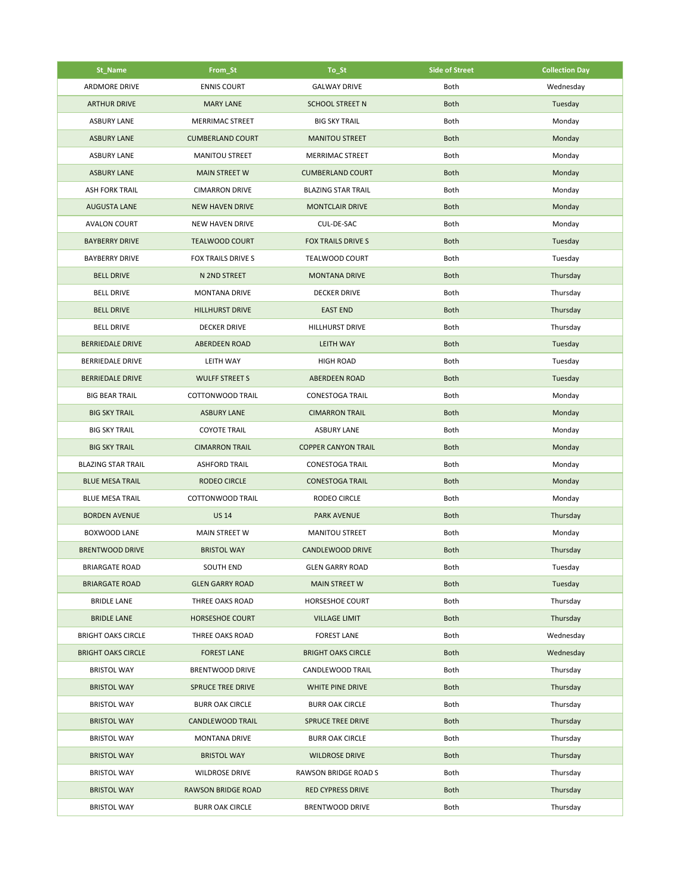| St_Name                   | From St                   | To_St                      | <b>Side of Street</b> | <b>Collection Day</b> |
|---------------------------|---------------------------|----------------------------|-----------------------|-----------------------|
| <b>ARDMORE DRIVE</b>      | <b>ENNIS COURT</b>        | <b>GALWAY DRIVE</b>        | Both                  | Wednesday             |
| <b>ARTHUR DRIVE</b>       | <b>MARY LANE</b>          | <b>SCHOOL STREET N</b>     | <b>Both</b>           | Tuesday               |
| <b>ASBURY LANE</b>        | MERRIMAC STREET           | <b>BIG SKY TRAIL</b>       | Both                  | Monday                |
| <b>ASBURY LANE</b>        | <b>CUMBERLAND COURT</b>   | <b>MANITOU STREET</b>      | <b>Both</b>           | Monday                |
| <b>ASBURY LANE</b>        | <b>MANITOU STREET</b>     | <b>MERRIMAC STREET</b>     | Both                  | Monday                |
| <b>ASBURY LANE</b>        | <b>MAIN STREET W</b>      | <b>CUMBERLAND COURT</b>    | <b>Both</b>           | Monday                |
| <b>ASH FORK TRAIL</b>     | <b>CIMARRON DRIVE</b>     | <b>BLAZING STAR TRAIL</b>  | Both                  | Monday                |
| <b>AUGUSTA LANE</b>       | <b>NEW HAVEN DRIVE</b>    | <b>MONTCLAIR DRIVE</b>     | <b>Both</b>           | Monday                |
| <b>AVALON COURT</b>       | <b>NEW HAVEN DRIVE</b>    | CUL-DE-SAC                 | Both                  | Monday                |
| <b>BAYBERRY DRIVE</b>     | <b>TEALWOOD COURT</b>     | <b>FOX TRAILS DRIVE S</b>  | <b>Both</b>           | Tuesday               |
| <b>BAYBERRY DRIVE</b>     | FOX TRAILS DRIVE S        | <b>TEALWOOD COURT</b>      | Both                  | Tuesday               |
| <b>BELL DRIVE</b>         | N 2ND STREET              | <b>MONTANA DRIVE</b>       | <b>Both</b>           | Thursday              |
| <b>BELL DRIVE</b>         | <b>MONTANA DRIVE</b>      | <b>DECKER DRIVE</b>        | Both                  | Thursday              |
| <b>BELL DRIVE</b>         | <b>HILLHURST DRIVE</b>    | <b>EAST END</b>            | <b>Both</b>           | Thursday              |
| <b>BELL DRIVE</b>         | <b>DECKER DRIVE</b>       | <b>HILLHURST DRIVE</b>     | Both                  | Thursday              |
| <b>BERRIEDALE DRIVE</b>   | <b>ABERDEEN ROAD</b>      | <b>LEITH WAY</b>           | <b>Both</b>           | Tuesday               |
| <b>BERRIEDALE DRIVE</b>   | LEITH WAY                 | <b>HIGH ROAD</b>           | Both                  | Tuesday               |
| <b>BERRIEDALE DRIVE</b>   | <b>WULFF STREET S</b>     | <b>ABERDEEN ROAD</b>       | <b>Both</b>           | Tuesday               |
| <b>BIG BEAR TRAIL</b>     | COTTONWOOD TRAIL          | <b>CONESTOGA TRAIL</b>     | Both                  | Monday                |
| <b>BIG SKY TRAIL</b>      | <b>ASBURY LANE</b>        | <b>CIMARRON TRAIL</b>      | <b>Both</b>           | Monday                |
| <b>BIG SKY TRAIL</b>      | <b>COYOTE TRAIL</b>       | <b>ASBURY LANE</b>         | Both                  | Monday                |
| <b>BIG SKY TRAIL</b>      | <b>CIMARRON TRAIL</b>     | <b>COPPER CANYON TRAIL</b> | <b>Both</b>           | Monday                |
| <b>BLAZING STAR TRAIL</b> | <b>ASHFORD TRAIL</b>      | <b>CONESTOGA TRAIL</b>     | Both                  | Monday                |
| <b>BLUE MESA TRAIL</b>    | <b>RODEO CIRCLE</b>       | <b>CONESTOGA TRAIL</b>     | <b>Both</b>           | Monday                |
| <b>BLUE MESA TRAIL</b>    | COTTONWOOD TRAIL          | RODEO CIRCLE               | Both                  | Monday                |
| <b>BORDEN AVENUE</b>      | <b>US 14</b>              | <b>PARK AVENUE</b>         | <b>Both</b>           | Thursday              |
| <b>BOXWOOD LANE</b>       | MAIN STREET W             | <b>MANITOU STREET</b>      | Both                  | Monday                |
| <b>BRENTWOOD DRIVE</b>    | <b>BRISTOL WAY</b>        | CANDLEWOOD DRIVE           | <b>Both</b>           | Thursday              |
| <b>BRIARGATE ROAD</b>     | SOUTH END                 | <b>GLEN GARRY ROAD</b>     | Both                  | Tuesday               |
| <b>BRIARGATE ROAD</b>     | <b>GLEN GARRY ROAD</b>    | <b>MAIN STREET W</b>       | <b>Both</b>           | Tuesday               |
| <b>BRIDLE LANE</b>        | THREE OAKS ROAD           | HORSESHOE COURT            | Both                  | Thursday              |
| <b>BRIDLE LANE</b>        | HORSESHOE COURT           | <b>VILLAGE LIMIT</b>       | <b>Both</b>           | Thursday              |
| <b>BRIGHT OAKS CIRCLE</b> | THREE OAKS ROAD           | <b>FOREST LANE</b>         | Both                  | Wednesday             |
| <b>BRIGHT OAKS CIRCLE</b> | <b>FOREST LANE</b>        | <b>BRIGHT OAKS CIRCLE</b>  | <b>Both</b>           | Wednesday             |
| <b>BRISTOL WAY</b>        | <b>BRENTWOOD DRIVE</b>    | CANDLEWOOD TRAIL           | Both                  | Thursday              |
| <b>BRISTOL WAY</b>        | <b>SPRUCE TREE DRIVE</b>  | WHITE PINE DRIVE           | <b>Both</b>           | Thursday              |
| <b>BRISTOL WAY</b>        | <b>BURR OAK CIRCLE</b>    | <b>BURR OAK CIRCLE</b>     | Both                  | Thursday              |
| <b>BRISTOL WAY</b>        | <b>CANDLEWOOD TRAIL</b>   | <b>SPRUCE TREE DRIVE</b>   | <b>Both</b>           | Thursday              |
| <b>BRISTOL WAY</b>        | MONTANA DRIVE             | <b>BURR OAK CIRCLE</b>     | Both                  | Thursday              |
| <b>BRISTOL WAY</b>        | <b>BRISTOL WAY</b>        | <b>WILDROSE DRIVE</b>      | <b>Both</b>           | Thursday              |
| <b>BRISTOL WAY</b>        | <b>WILDROSE DRIVE</b>     | RAWSON BRIDGE ROAD S       | Both                  | Thursday              |
| <b>BRISTOL WAY</b>        | <b>RAWSON BRIDGE ROAD</b> | <b>RED CYPRESS DRIVE</b>   | <b>Both</b>           | Thursday              |
| <b>BRISTOL WAY</b>        | <b>BURR OAK CIRCLE</b>    | <b>BRENTWOOD DRIVE</b>     | Both                  | Thursday              |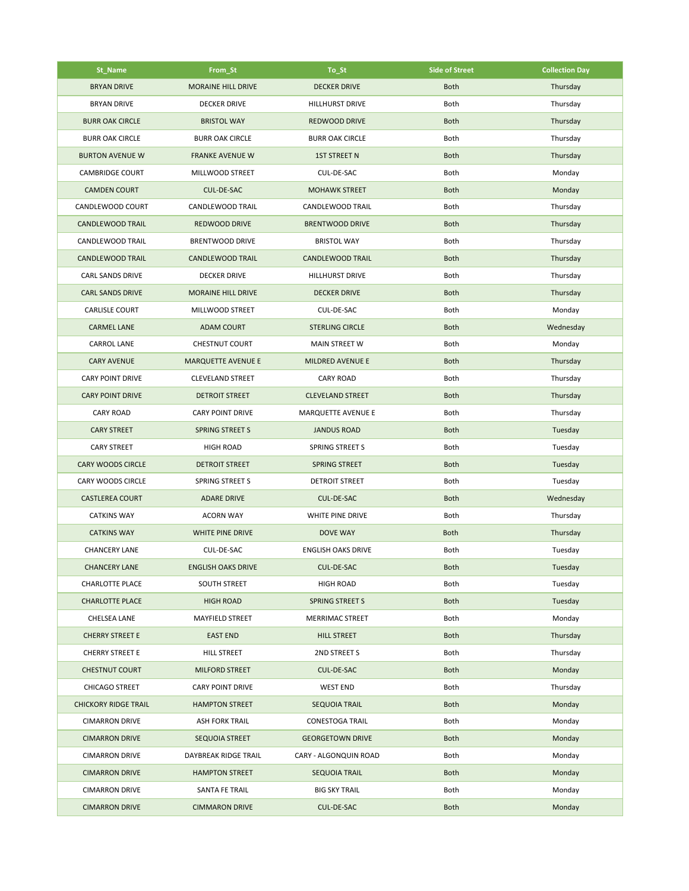| St_Name                     | From_St                   | To_St                     | <b>Side of Street</b> | <b>Collection Day</b> |
|-----------------------------|---------------------------|---------------------------|-----------------------|-----------------------|
| <b>BRYAN DRIVE</b>          | <b>MORAINE HILL DRIVE</b> | <b>DECKER DRIVE</b>       | <b>Both</b>           | Thursday              |
| <b>BRYAN DRIVE</b>          | <b>DECKER DRIVE</b>       | HILLHURST DRIVE           | Both                  | Thursday              |
| <b>BURR OAK CIRCLE</b>      | <b>BRISTOL WAY</b>        | REDWOOD DRIVE             | <b>Both</b>           | Thursday              |
| <b>BURR OAK CIRCLE</b>      | <b>BURR OAK CIRCLE</b>    | <b>BURR OAK CIRCLE</b>    | Both                  | Thursday              |
| <b>BURTON AVENUE W</b>      | <b>FRANKE AVENUE W</b>    | <b>1ST STREET N</b>       | <b>Both</b>           | Thursday              |
| <b>CAMBRIDGE COURT</b>      | MILLWOOD STREET           | CUL-DE-SAC                | Both                  | Monday                |
| <b>CAMDEN COURT</b>         | <b>CUL-DE-SAC</b>         | <b>MOHAWK STREET</b>      | <b>Both</b>           | Monday                |
| CANDLEWOOD COURT            | CANDLEWOOD TRAIL          | CANDLEWOOD TRAIL          | Both                  | Thursday              |
| CANDLEWOOD TRAIL            | REDWOOD DRIVE             | <b>BRENTWOOD DRIVE</b>    | <b>Both</b>           | Thursday              |
| CANDLEWOOD TRAIL            | <b>BRENTWOOD DRIVE</b>    | <b>BRISTOL WAY</b>        | Both                  | Thursday              |
| <b>CANDLEWOOD TRAIL</b>     | <b>CANDLEWOOD TRAIL</b>   | <b>CANDLEWOOD TRAIL</b>   | <b>Both</b>           | Thursday              |
| CARL SANDS DRIVE            | <b>DECKER DRIVE</b>       | HILLHURST DRIVE           | <b>Both</b>           | Thursday              |
| <b>CARL SANDS DRIVE</b>     | <b>MORAINE HILL DRIVE</b> | <b>DECKER DRIVE</b>       | <b>Both</b>           | Thursday              |
| <b>CARLISLE COURT</b>       | MILLWOOD STREET           | CUL-DE-SAC                | Both                  | Monday                |
| <b>CARMEL LANE</b>          | <b>ADAM COURT</b>         | <b>STERLING CIRCLE</b>    | <b>Both</b>           | Wednesday             |
| <b>CARROL LANE</b>          | <b>CHESTNUT COURT</b>     | <b>MAIN STREET W</b>      | Both                  | Monday                |
| <b>CARY AVENUE</b>          | <b>MARQUETTE AVENUE E</b> | <b>MILDRED AVENUE E</b>   | <b>Both</b>           | Thursday              |
| <b>CARY POINT DRIVE</b>     | <b>CLEVELAND STREET</b>   | <b>CARY ROAD</b>          | <b>Both</b>           | Thursday              |
| <b>CARY POINT DRIVE</b>     | <b>DETROIT STREET</b>     | <b>CLEVELAND STREET</b>   | <b>Both</b>           | Thursday              |
| <b>CARY ROAD</b>            | <b>CARY POINT DRIVE</b>   | MARQUETTE AVENUE E        | Both                  | Thursday              |
| <b>CARY STREET</b>          | <b>SPRING STREET S</b>    | <b>JANDUS ROAD</b>        | <b>Both</b>           | Tuesday               |
| <b>CARY STREET</b>          | <b>HIGH ROAD</b>          | <b>SPRING STREET S</b>    | Both                  | Tuesday               |
| <b>CARY WOODS CIRCLE</b>    | <b>DETROIT STREET</b>     | <b>SPRING STREET</b>      | <b>Both</b>           | Tuesday               |
| CARY WOODS CIRCLE           | SPRING STREET S           | <b>DETROIT STREET</b>     | Both                  | Tuesday               |
| <b>CASTLEREA COURT</b>      | <b>ADARE DRIVE</b>        | CUL-DE-SAC                | <b>Both</b>           | Wednesday             |
| <b>CATKINS WAY</b>          | <b>ACORN WAY</b>          | WHITE PINE DRIVE          | <b>Both</b>           | Thursday              |
| <b>CATKINS WAY</b>          | WHITE PINE DRIVE          | <b>DOVE WAY</b>           | <b>Both</b>           | Thursday              |
| <b>CHANCERY LANE</b>        | CUL-DE-SAC                | <b>ENGLISH OAKS DRIVE</b> | Both                  | Tuesday               |
| <b>CHANCERY LANE</b>        | <b>ENGLISH OAKS DRIVE</b> | CUL-DE-SAC                | <b>Both</b>           | Tuesday               |
| <b>CHARLOTTE PLACE</b>      | SOUTH STREET              | <b>HIGH ROAD</b>          | Both                  | Tuesday               |
| <b>CHARLOTTE PLACE</b>      | <b>HIGH ROAD</b>          | SPRING STREET S           | <b>Both</b>           | Tuesday               |
| <b>CHELSEA LANE</b>         | MAYFIELD STREET           | MERRIMAC STREET           | Both                  | Monday                |
| <b>CHERRY STREET E</b>      | <b>EAST END</b>           | <b>HILL STREET</b>        | <b>Both</b>           | Thursday              |
| <b>CHERRY STREET E</b>      | HILL STREET               | 2ND STREET S              | Both                  | Thursday              |
| <b>CHESTNUT COURT</b>       | <b>MILFORD STREET</b>     | CUL-DE-SAC                | <b>Both</b>           | Monday                |
| CHICAGO STREET              | <b>CARY POINT DRIVE</b>   | <b>WEST END</b>           | Both                  | Thursday              |
| <b>CHICKORY RIDGE TRAIL</b> | <b>HAMPTON STREET</b>     | SEQUOIA TRAIL             | <b>Both</b>           | Monday                |
| <b>CIMARRON DRIVE</b>       | <b>ASH FORK TRAIL</b>     | <b>CONESTOGA TRAIL</b>    | Both                  | Monday                |
| <b>CIMARRON DRIVE</b>       | SEQUOIA STREET            | <b>GEORGETOWN DRIVE</b>   | <b>Both</b>           | Monday                |
| <b>CIMARRON DRIVE</b>       | DAYBREAK RIDGE TRAIL      | CARY - ALGONQUIN ROAD     | Both                  | Monday                |
| <b>CIMARRON DRIVE</b>       | <b>HAMPTON STREET</b>     | <b>SEQUOIA TRAIL</b>      | <b>Both</b>           | Monday                |
| <b>CIMARRON DRIVE</b>       | SANTA FE TRAIL            | <b>BIG SKY TRAIL</b>      | Both                  | Monday                |
| <b>CIMARRON DRIVE</b>       | <b>CIMMARON DRIVE</b>     | CUL-DE-SAC                | <b>Both</b>           | Monday                |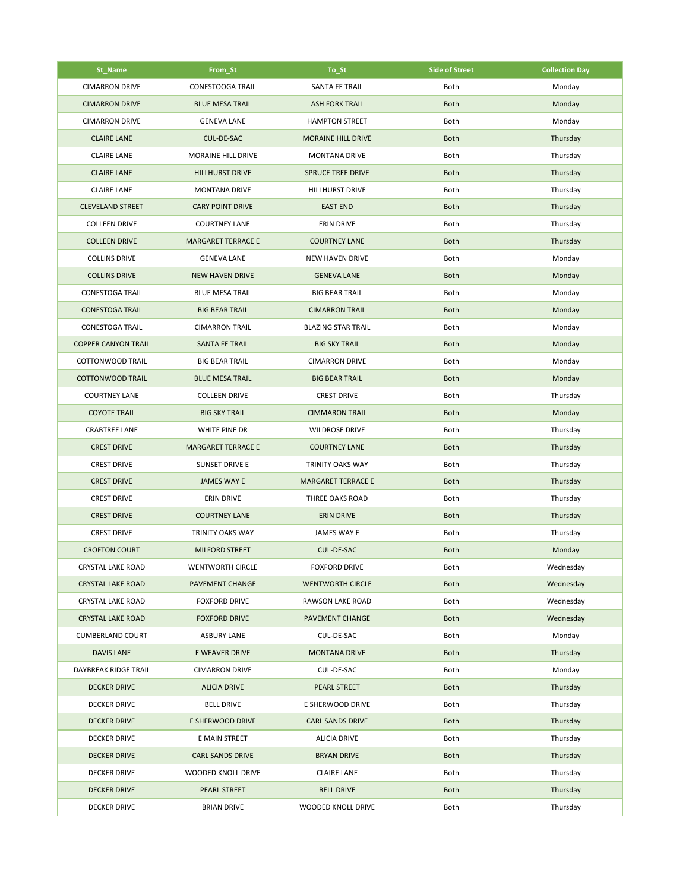| St_Name                    | From St                   | To St                     | <b>Side of Street</b> | <b>Collection Day</b> |
|----------------------------|---------------------------|---------------------------|-----------------------|-----------------------|
| <b>CIMARRON DRIVE</b>      | <b>CONESTOOGA TRAIL</b>   | SANTA FE TRAIL            | Both                  | Monday                |
| <b>CIMARRON DRIVE</b>      | <b>BLUE MESA TRAIL</b>    | <b>ASH FORK TRAIL</b>     | <b>Both</b>           | Monday                |
| <b>CIMARRON DRIVE</b>      | <b>GENEVA LANE</b>        | <b>HAMPTON STREET</b>     | Both                  | Monday                |
| <b>CLAIRE LANE</b>         | CUL-DE-SAC                | <b>MORAINE HILL DRIVE</b> | <b>Both</b>           | Thursday              |
| <b>CLAIRE LANE</b>         | MORAINE HILL DRIVE        | <b>MONTANA DRIVE</b>      | Both                  | Thursday              |
| <b>CLAIRE LANE</b>         | <b>HILLHURST DRIVE</b>    | <b>SPRUCE TREE DRIVE</b>  | <b>Both</b>           | Thursday              |
| <b>CLAIRE LANE</b>         | <b>MONTANA DRIVE</b>      | <b>HILLHURST DRIVE</b>    | Both                  | Thursday              |
| <b>CLEVELAND STREET</b>    | <b>CARY POINT DRIVE</b>   | <b>EAST END</b>           | <b>Both</b>           | Thursday              |
| <b>COLLEEN DRIVE</b>       | <b>COURTNEY LANE</b>      | <b>ERIN DRIVE</b>         | Both                  | Thursday              |
| <b>COLLEEN DRIVE</b>       | <b>MARGARET TERRACE E</b> | <b>COURTNEY LANE</b>      | <b>Both</b>           | Thursday              |
| <b>COLLINS DRIVE</b>       | <b>GENEVA LANE</b>        | <b>NEW HAVEN DRIVE</b>    | Both                  | Monday                |
| <b>COLLINS DRIVE</b>       | <b>NEW HAVEN DRIVE</b>    | <b>GENEVA LANE</b>        | <b>Both</b>           | Monday                |
| <b>CONESTOGA TRAIL</b>     | <b>BLUE MESA TRAIL</b>    | <b>BIG BEAR TRAIL</b>     | Both                  | Monday                |
| <b>CONESTOGA TRAIL</b>     | <b>BIG BEAR TRAIL</b>     | <b>CIMARRON TRAIL</b>     | <b>Both</b>           | Monday                |
| <b>CONESTOGA TRAIL</b>     | <b>CIMARRON TRAIL</b>     | <b>BLAZING STAR TRAIL</b> | Both                  | Monday                |
| <b>COPPER CANYON TRAIL</b> | SANTA FE TRAIL            | <b>BIG SKY TRAIL</b>      | <b>Both</b>           | Monday                |
| <b>COTTONWOOD TRAIL</b>    | <b>BIG BEAR TRAIL</b>     | <b>CIMARRON DRIVE</b>     | Both                  | Monday                |
| <b>COTTONWOOD TRAIL</b>    | <b>BLUE MESA TRAIL</b>    | <b>BIG BEAR TRAIL</b>     | <b>Both</b>           | Monday                |
| <b>COURTNEY LANE</b>       | <b>COLLEEN DRIVE</b>      | <b>CREST DRIVE</b>        | Both                  | Thursday              |
| <b>COYOTE TRAIL</b>        | <b>BIG SKY TRAIL</b>      | <b>CIMMARON TRAIL</b>     | <b>Both</b>           | Monday                |
| <b>CRABTREE LANE</b>       | WHITE PINE DR             | WILDROSE DRIVE            | Both                  | Thursday              |
| <b>CREST DRIVE</b>         | <b>MARGARET TERRACE E</b> | <b>COURTNEY LANE</b>      | <b>Both</b>           | Thursday              |
| <b>CREST DRIVE</b>         | <b>SUNSET DRIVE E</b>     | <b>TRINITY OAKS WAY</b>   | Both                  | Thursday              |
| <b>CREST DRIVE</b>         | <b>JAMES WAY E</b>        | <b>MARGARET TERRACE E</b> | Both                  | Thursday              |
| <b>CREST DRIVE</b>         | <b>ERIN DRIVE</b>         | <b>THREE OAKS ROAD</b>    | Both                  | Thursday              |
| <b>CREST DRIVE</b>         | <b>COURTNEY LANE</b>      | <b>ERIN DRIVE</b>         | <b>Both</b>           | Thursday              |
| <b>CREST DRIVE</b>         | TRINITY OAKS WAY          | JAMES WAY E               | Both                  | Thursday              |
| <b>CROFTON COURT</b>       | <b>MILFORD STREET</b>     | <b>CUL-DE-SAC</b>         | <b>Both</b>           | Monday                |
| <b>CRYSTAL LAKE ROAD</b>   | <b>WENTWORTH CIRCLE</b>   | <b>FOXFORD DRIVE</b>      | Both                  | Wednesday             |
| <b>CRYSTAL LAKE ROAD</b>   | PAVEMENT CHANGE           | <b>WENTWORTH CIRCLE</b>   | <b>Both</b>           | Wednesday             |
| <b>CRYSTAL LAKE ROAD</b>   | <b>FOXFORD DRIVE</b>      | RAWSON LAKE ROAD          | Both                  | Wednesday             |
| <b>CRYSTAL LAKE ROAD</b>   | <b>FOXFORD DRIVE</b>      | PAVEMENT CHANGE           | <b>Both</b>           | Wednesday             |
| <b>CUMBERLAND COURT</b>    | <b>ASBURY LANE</b>        | CUL-DE-SAC                | Both                  | Monday                |
| <b>DAVIS LANE</b>          | E WEAVER DRIVE            | <b>MONTANA DRIVE</b>      | <b>Both</b>           | Thursday              |
| DAYBREAK RIDGE TRAIL       | <b>CIMARRON DRIVE</b>     | CUL-DE-SAC                | Both                  | Monday                |
| <b>DECKER DRIVE</b>        | <b>ALICIA DRIVE</b>       | PEARL STREET              | <b>Both</b>           | Thursday              |
| <b>DECKER DRIVE</b>        | <b>BELL DRIVE</b>         | E SHERWOOD DRIVE          | Both                  | Thursday              |
| <b>DECKER DRIVE</b>        | E SHERWOOD DRIVE          | <b>CARL SANDS DRIVE</b>   | <b>Both</b>           | Thursday              |
| <b>DECKER DRIVE</b>        | E MAIN STREET             | <b>ALICIA DRIVE</b>       | Both                  | Thursday              |
| <b>DECKER DRIVE</b>        | <b>CARL SANDS DRIVE</b>   | <b>BRYAN DRIVE</b>        | <b>Both</b>           | Thursday              |
| DECKER DRIVE               | WOODED KNOLL DRIVE        | <b>CLAIRE LANE</b>        | Both                  | Thursday              |
| <b>DECKER DRIVE</b>        | PEARL STREET              | <b>BELL DRIVE</b>         | <b>Both</b>           | Thursday              |
| DECKER DRIVE               | <b>BRIAN DRIVE</b>        | WOODED KNOLL DRIVE        | Both                  | Thursday              |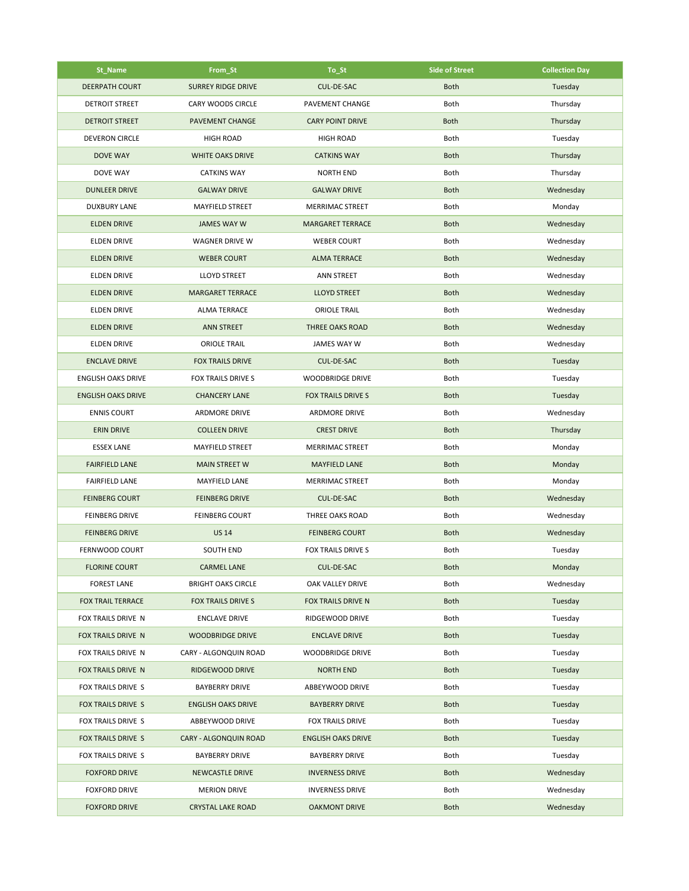| St_Name                   | From_St                   | To_St                     | <b>Side of Street</b> | <b>Collection Day</b> |
|---------------------------|---------------------------|---------------------------|-----------------------|-----------------------|
| <b>DEERPATH COURT</b>     | <b>SURREY RIDGE DRIVE</b> | <b>CUL-DE-SAC</b>         | <b>Both</b>           | Tuesday               |
| <b>DETROIT STREET</b>     | <b>CARY WOODS CIRCLE</b>  | PAVEMENT CHANGE           | Both                  | Thursday              |
| <b>DETROIT STREET</b>     | <b>PAVEMENT CHANGE</b>    | <b>CARY POINT DRIVE</b>   | <b>Both</b>           | Thursday              |
| <b>DEVERON CIRCLE</b>     | <b>HIGH ROAD</b>          | <b>HIGH ROAD</b>          | Both                  | Tuesday               |
| <b>DOVE WAY</b>           | WHITE OAKS DRIVE          | <b>CATKINS WAY</b>        | <b>Both</b>           | Thursday              |
| <b>DOVE WAY</b>           | <b>CATKINS WAY</b>        | <b>NORTH END</b>          | Both                  | Thursday              |
| <b>DUNLEER DRIVE</b>      | <b>GALWAY DRIVE</b>       | <b>GALWAY DRIVE</b>       | <b>Both</b>           | Wednesday             |
| <b>DUXBURY LANE</b>       | <b>MAYFIELD STREET</b>    | <b>MERRIMAC STREET</b>    | Both                  | Monday                |
| <b>ELDEN DRIVE</b>        | JAMES WAY W               | <b>MARGARET TERRACE</b>   | <b>Both</b>           | Wednesday             |
| <b>ELDEN DRIVE</b>        | WAGNER DRIVE W            | <b>WEBER COURT</b>        | Both                  | Wednesday             |
| <b>ELDEN DRIVE</b>        | <b>WEBER COURT</b>        | <b>ALMA TERRACE</b>       | <b>Both</b>           | Wednesday             |
| <b>ELDEN DRIVE</b>        | <b>LLOYD STREET</b>       | ANN STREET                | Both                  | Wednesday             |
| <b>ELDEN DRIVE</b>        | <b>MARGARET TERRACE</b>   | <b>LLOYD STREET</b>       | <b>Both</b>           | Wednesday             |
| <b>ELDEN DRIVE</b>        | <b>ALMA TERRACE</b>       | <b>ORIOLE TRAIL</b>       | Both                  | Wednesday             |
| <b>ELDEN DRIVE</b>        | <b>ANN STREET</b>         | <b>THREE OAKS ROAD</b>    | <b>Both</b>           | Wednesday             |
| <b>ELDEN DRIVE</b>        | <b>ORIOLE TRAIL</b>       | <b>JAMES WAY W</b>        | Both                  | Wednesday             |
| <b>ENCLAVE DRIVE</b>      | <b>FOX TRAILS DRIVE</b>   | CUL-DE-SAC                | <b>Both</b>           | Tuesday               |
| <b>ENGLISH OAKS DRIVE</b> | FOX TRAILS DRIVE S        | <b>WOODBRIDGE DRIVE</b>   | Both                  | Tuesday               |
| <b>ENGLISH OAKS DRIVE</b> | <b>CHANCERY LANE</b>      | FOX TRAILS DRIVE S        | <b>Both</b>           | Tuesday               |
| <b>ENNIS COURT</b>        | <b>ARDMORE DRIVE</b>      | <b>ARDMORE DRIVE</b>      | Both                  | Wednesday             |
| <b>ERIN DRIVE</b>         | <b>COLLEEN DRIVE</b>      | <b>CREST DRIVE</b>        | <b>Both</b>           | Thursday              |
| <b>ESSEX LANE</b>         | MAYFIELD STREET           | <b>MERRIMAC STREET</b>    | Both                  | Monday                |
| <b>FAIRFIELD LANE</b>     | <b>MAIN STREET W</b>      | <b>MAYFIELD LANE</b>      | <b>Both</b>           | Monday                |
| <b>FAIRFIELD LANE</b>     | MAYFIELD LANE             | <b>MERRIMAC STREET</b>    | Both                  | Monday                |
| <b>FEINBERG COURT</b>     | <b>FEINBERG DRIVE</b>     | CUL-DE-SAC                | <b>Both</b>           | Wednesday             |
| <b>FEINBERG DRIVE</b>     | <b>FEINBERG COURT</b>     | THREE OAKS ROAD           | Both                  | Wednesday             |
| <b>FEINBERG DRIVE</b>     | <b>US 14</b>              | <b>FEINBERG COURT</b>     | <b>Both</b>           | Wednesday             |
| <b>FERNWOOD COURT</b>     | <b>SOUTH END</b>          | FOX TRAILS DRIVE S        | Both                  | Tuesday               |
| <b>FLORINE COURT</b>      | CARMEL LANE               | <b>CUL-DE-SAC</b>         | <b>Both</b>           | Monday                |
| <b>FOREST LANE</b>        | <b>BRIGHT OAKS CIRCLE</b> | OAK VALLEY DRIVE          | Both                  | Wednesday             |
| <b>FOX TRAIL TERRACE</b>  | <b>FOX TRAILS DRIVE S</b> | FOX TRAILS DRIVE N        | <b>Both</b>           | Tuesday               |
| FOX TRAILS DRIVE N        | <b>ENCLAVE DRIVE</b>      | RIDGEWOOD DRIVE           | Both                  | Tuesday               |
| FOX TRAILS DRIVE N        | <b>WOODBRIDGE DRIVE</b>   | <b>ENCLAVE DRIVE</b>      | <b>Both</b>           | Tuesday               |
| FOX TRAILS DRIVE N        | CARY - ALGONQUIN ROAD     | <b>WOODBRIDGE DRIVE</b>   | Both                  | Tuesday               |
| FOX TRAILS DRIVE N        | RIDGEWOOD DRIVE           | <b>NORTH END</b>          | <b>Both</b>           | Tuesday               |
| FOX TRAILS DRIVE S        | <b>BAYBERRY DRIVE</b>     | ABBEYWOOD DRIVE           | Both                  | Tuesday               |
| <b>FOX TRAILS DRIVE S</b> | <b>ENGLISH OAKS DRIVE</b> | <b>BAYBERRY DRIVE</b>     | <b>Both</b>           | Tuesday               |
| FOX TRAILS DRIVE S        | ABBEYWOOD DRIVE           | <b>FOX TRAILS DRIVE</b>   | Both                  | Tuesday               |
| FOX TRAILS DRIVE S        | CARY - ALGONQUIN ROAD     | <b>ENGLISH OAKS DRIVE</b> | <b>Both</b>           | Tuesday               |
| FOX TRAILS DRIVE S        | <b>BAYBERRY DRIVE</b>     | <b>BAYBERRY DRIVE</b>     | Both                  | Tuesday               |
| <b>FOXFORD DRIVE</b>      | <b>NEWCASTLE DRIVE</b>    | <b>INVERNESS DRIVE</b>    | <b>Both</b>           | Wednesday             |
| <b>FOXFORD DRIVE</b>      | <b>MERION DRIVE</b>       | <b>INVERNESS DRIVE</b>    | Both                  | Wednesday             |
| <b>FOXFORD DRIVE</b>      | <b>CRYSTAL LAKE ROAD</b>  | <b>OAKMONT DRIVE</b>      | <b>Both</b>           | Wednesday             |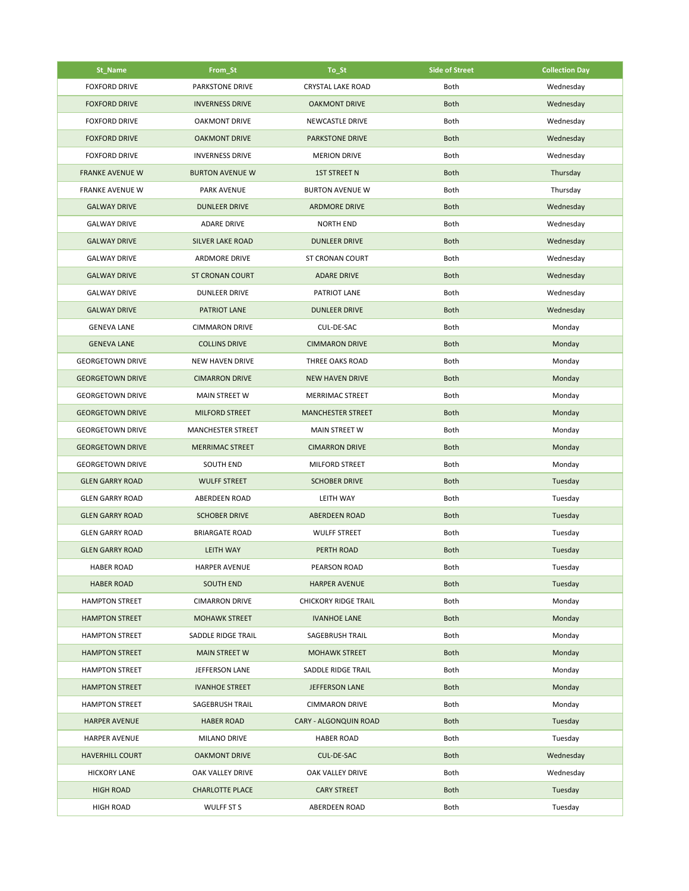| St_Name                 | From_St                  | To_St                       | <b>Side of Street</b> | <b>Collection Day</b> |
|-------------------------|--------------------------|-----------------------------|-----------------------|-----------------------|
| <b>FOXFORD DRIVE</b>    | <b>PARKSTONE DRIVE</b>   | <b>CRYSTAL LAKE ROAD</b>    | Both                  | Wednesday             |
| <b>FOXFORD DRIVE</b>    | <b>INVERNESS DRIVE</b>   | <b>OAKMONT DRIVE</b>        | <b>Both</b>           | Wednesday             |
| <b>FOXFORD DRIVE</b>    | <b>OAKMONT DRIVE</b>     | NEWCASTLE DRIVE             | Both                  | Wednesday             |
| <b>FOXFORD DRIVE</b>    | <b>OAKMONT DRIVE</b>     | <b>PARKSTONE DRIVE</b>      | <b>Both</b>           | Wednesday             |
| <b>FOXFORD DRIVE</b>    | <b>INVERNESS DRIVE</b>   | <b>MERION DRIVE</b>         | Both                  | Wednesday             |
| <b>FRANKE AVENUE W</b>  | <b>BURTON AVENUE W</b>   | <b>1ST STREET N</b>         | <b>Both</b>           | Thursday              |
| <b>FRANKE AVENUE W</b>  | PARK AVENUE              | <b>BURTON AVENUE W</b>      | Both                  | Thursday              |
| <b>GALWAY DRIVE</b>     | <b>DUNLEER DRIVE</b>     | <b>ARDMORE DRIVE</b>        | <b>Both</b>           | Wednesday             |
| <b>GALWAY DRIVE</b>     | <b>ADARE DRIVE</b>       | <b>NORTH END</b>            | Both                  | Wednesday             |
| <b>GALWAY DRIVE</b>     | <b>SILVER LAKE ROAD</b>  | <b>DUNLEER DRIVE</b>        | <b>Both</b>           | Wednesday             |
| <b>GALWAY DRIVE</b>     | <b>ARDMORE DRIVE</b>     | ST CRONAN COURT             | Both                  | Wednesday             |
| <b>GALWAY DRIVE</b>     | <b>ST CRONAN COURT</b>   | <b>ADARE DRIVE</b>          | <b>Both</b>           | Wednesday             |
| <b>GALWAY DRIVE</b>     | <b>DUNLEER DRIVE</b>     | PATRIOT LANE                | Both                  | Wednesday             |
| <b>GALWAY DRIVE</b>     | PATRIOT LANE             | <b>DUNLEER DRIVE</b>        | <b>Both</b>           | Wednesday             |
| <b>GENEVA LANE</b>      | <b>CIMMARON DRIVE</b>    | CUL-DE-SAC                  | Both                  | Monday                |
| <b>GENEVA LANE</b>      | <b>COLLINS DRIVE</b>     | <b>CIMMARON DRIVE</b>       | <b>Both</b>           | Monday                |
| <b>GEORGETOWN DRIVE</b> | <b>NEW HAVEN DRIVE</b>   | THREE OAKS ROAD             | Both                  | Monday                |
| <b>GEORGETOWN DRIVE</b> | <b>CIMARRON DRIVE</b>    | <b>NEW HAVEN DRIVE</b>      | <b>Both</b>           | Monday                |
| <b>GEORGETOWN DRIVE</b> | MAIN STREET W            | MERRIMAC STREET             | Both                  | Monday                |
| <b>GEORGETOWN DRIVE</b> | <b>MILFORD STREET</b>    | <b>MANCHESTER STREET</b>    | <b>Both</b>           | Monday                |
| <b>GEORGETOWN DRIVE</b> | <b>MANCHESTER STREET</b> | <b>MAIN STREET W</b>        | Both                  | Monday                |
| <b>GEORGETOWN DRIVE</b> | <b>MERRIMAC STREET</b>   | <b>CIMARRON DRIVE</b>       | <b>Both</b>           | Monday                |
| <b>GEORGETOWN DRIVE</b> | SOUTH END                | MILFORD STREET              | Both                  | Monday                |
| <b>GLEN GARRY ROAD</b>  | <b>WULFF STREET</b>      | <b>SCHOBER DRIVE</b>        | <b>Both</b>           | Tuesday               |
| <b>GLEN GARRY ROAD</b>  | <b>ABERDEEN ROAD</b>     | <b>LEITH WAY</b>            | Both                  | Tuesday               |
| <b>GLEN GARRY ROAD</b>  | <b>SCHOBER DRIVE</b>     | <b>ABERDEEN ROAD</b>        | <b>Both</b>           | Tuesday               |
| <b>GLEN GARRY ROAD</b>  | <b>BRIARGATE ROAD</b>    | <b>WULFF STREET</b>         | Both                  | Tuesday               |
| <b>GLEN GARRY ROAD</b>  | <b>LEITH WAY</b>         | PERTH ROAD                  | <b>Both</b>           | Tuesday               |
| <b>HABER ROAD</b>       | HARPER AVENUE            | PEARSON ROAD                | Both                  | Tuesday               |
| <b>HABER ROAD</b>       | <b>SOUTH END</b>         | <b>HARPER AVENUE</b>        | <b>Both</b>           | Tuesday               |
| <b>HAMPTON STREET</b>   | <b>CIMARRON DRIVE</b>    | <b>CHICKORY RIDGE TRAIL</b> | Both                  | Monday                |
| <b>HAMPTON STREET</b>   | <b>MOHAWK STREET</b>     | <b>IVANHOE LANE</b>         | <b>Both</b>           | Monday                |
| <b>HAMPTON STREET</b>   | SADDLE RIDGE TRAIL       | SAGEBRUSH TRAIL             | Both                  | Monday                |
| <b>HAMPTON STREET</b>   | <b>MAIN STREET W</b>     | <b>MOHAWK STREET</b>        | <b>Both</b>           | Monday                |
| <b>HAMPTON STREET</b>   | JEFFERSON LANE           | SADDLE RIDGE TRAIL          | Both                  | Monday                |
| <b>HAMPTON STREET</b>   | <b>IVANHOE STREET</b>    | <b>JEFFERSON LANE</b>       | <b>Both</b>           | Monday                |
| <b>HAMPTON STREET</b>   | SAGEBRUSH TRAIL          | <b>CIMMARON DRIVE</b>       | Both                  | Monday                |
| <b>HARPER AVENUE</b>    | <b>HABER ROAD</b>        | CARY - ALGONQUIN ROAD       | <b>Both</b>           | Tuesday               |
| <b>HARPER AVENUE</b>    | <b>MILANO DRIVE</b>      | <b>HABER ROAD</b>           | Both                  | Tuesday               |
| <b>HAVERHILL COURT</b>  | <b>OAKMONT DRIVE</b>     | CUL-DE-SAC                  | <b>Both</b>           | Wednesday             |
| <b>HICKORY LANE</b>     | OAK VALLEY DRIVE         | OAK VALLEY DRIVE            | Both                  | Wednesday             |
| <b>HIGH ROAD</b>        | <b>CHARLOTTE PLACE</b>   | <b>CARY STREET</b>          | <b>Both</b>           | Tuesday               |
| <b>HIGH ROAD</b>        | WULFF ST S               | ABERDEEN ROAD               | Both                  | Tuesday               |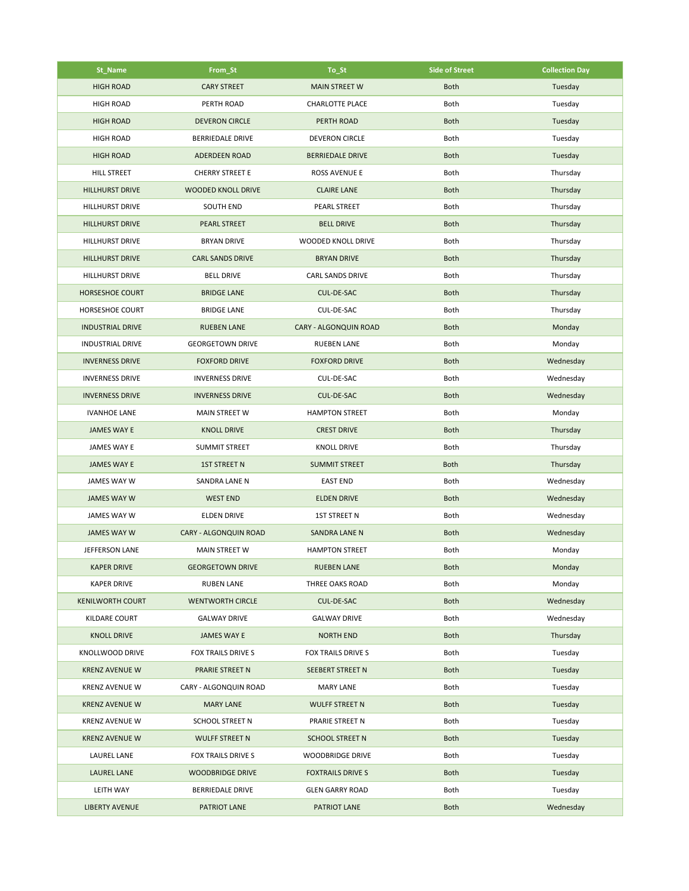| St_Name                 | From_St                 | To_St                        | <b>Side of Street</b> | <b>Collection Day</b> |
|-------------------------|-------------------------|------------------------------|-----------------------|-----------------------|
| <b>HIGH ROAD</b>        | <b>CARY STREET</b>      | <b>MAIN STREET W</b>         | <b>Both</b>           | Tuesday               |
| <b>HIGH ROAD</b>        | PERTH ROAD              | <b>CHARLOTTE PLACE</b>       | Both                  | Tuesday               |
| <b>HIGH ROAD</b>        | <b>DEVERON CIRCLE</b>   | PERTH ROAD                   | <b>Both</b>           | Tuesday               |
| <b>HIGH ROAD</b>        | <b>BERRIEDALE DRIVE</b> | <b>DEVERON CIRCLE</b>        | Both                  | Tuesday               |
| <b>HIGH ROAD</b>        | <b>ADERDEEN ROAD</b>    | <b>BERRIEDALE DRIVE</b>      | <b>Both</b>           | Tuesday               |
| <b>HILL STREET</b>      | <b>CHERRY STREET E</b>  | ROSS AVENUE E                | Both                  | Thursday              |
| HILLHURST DRIVE         | WOODED KNOLL DRIVE      | <b>CLAIRE LANE</b>           | <b>Both</b>           | Thursday              |
| HILLHURST DRIVE         | <b>SOUTH END</b>        | PEARL STREET                 | Both                  | Thursday              |
| <b>HILLHURST DRIVE</b>  | <b>PEARL STREET</b>     | <b>BELL DRIVE</b>            | <b>Both</b>           | Thursday              |
| HILLHURST DRIVE         | <b>BRYAN DRIVE</b>      | WOODED KNOLL DRIVE           | Both                  | Thursday              |
| HILLHURST DRIVE         | <b>CARL SANDS DRIVE</b> | <b>BRYAN DRIVE</b>           | <b>Both</b>           | Thursday              |
| HILLHURST DRIVE         | <b>BELL DRIVE</b>       | <b>CARL SANDS DRIVE</b>      | Both                  | Thursday              |
| <b>HORSESHOE COURT</b>  | <b>BRIDGE LANE</b>      | CUL-DE-SAC                   | <b>Both</b>           | Thursday              |
| <b>HORSESHOE COURT</b>  | <b>BRIDGE LANE</b>      | CUL-DE-SAC                   | Both                  | Thursday              |
| <b>INDUSTRIAL DRIVE</b> | <b>RUEBEN LANE</b>      | <b>CARY - ALGONQUIN ROAD</b> | <b>Both</b>           | Monday                |
| <b>INDUSTRIAL DRIVE</b> | <b>GEORGETOWN DRIVE</b> | <b>RUEBEN LANE</b>           | Both                  | Monday                |
| <b>INVERNESS DRIVE</b>  | <b>FOXFORD DRIVE</b>    | <b>FOXFORD DRIVE</b>         | <b>Both</b>           | Wednesday             |
| <b>INVERNESS DRIVE</b>  | <b>INVERNESS DRIVE</b>  | CUL-DE-SAC                   | Both                  | Wednesday             |
| <b>INVERNESS DRIVE</b>  | <b>INVERNESS DRIVE</b>  | CUL-DE-SAC                   | <b>Both</b>           | Wednesday             |
| <b>IVANHOE LANE</b>     | <b>MAIN STREET W</b>    | <b>HAMPTON STREET</b>        | Both                  | Monday                |
| <b>JAMES WAY E</b>      | <b>KNOLL DRIVE</b>      | <b>CREST DRIVE</b>           | <b>Both</b>           | Thursday              |
| JAMES WAY E             | <b>SUMMIT STREET</b>    | <b>KNOLL DRIVE</b>           | Both                  | Thursday              |
| <b>JAMES WAY E</b>      | <b>1ST STREET N</b>     | <b>SUMMIT STREET</b>         | <b>Both</b>           | Thursday              |
| JAMES WAY W             | SANDRA LANE N           | <b>EAST END</b>              | Both                  | Wednesday             |
| <b>JAMES WAY W</b>      | <b>WEST END</b>         | <b>ELDEN DRIVE</b>           | <b>Both</b>           | Wednesday             |
| JAMES WAY W             | ELDEN DRIVE             | <b>1ST STREET N</b>          | Both                  | Wednesday             |
| <b>JAMES WAY W</b>      | CARY - ALGONQUIN ROAD   | <b>SANDRA LANE N</b>         | <b>Both</b>           | Wednesday             |
| JEFFERSON LANE          | <b>MAIN STREET W</b>    | <b>HAMPTON STREET</b>        | Both                  | Monday                |
| <b>KAPER DRIVE</b>      | <b>GEORGETOWN DRIVE</b> | <b>RUEBEN LANE</b>           | <b>Both</b>           | Monday                |
| <b>KAPER DRIVE</b>      | <b>RUBEN LANE</b>       | THREE OAKS ROAD              | Both                  | Monday                |
| <b>KENILWORTH COURT</b> | <b>WENTWORTH CIRCLE</b> | CUL-DE-SAC                   | <b>Both</b>           | Wednesday             |
| <b>KILDARE COURT</b>    | <b>GALWAY DRIVE</b>     | <b>GALWAY DRIVE</b>          | Both                  | Wednesday             |
| <b>KNOLL DRIVE</b>      | <b>JAMES WAY E</b>      | <b>NORTH END</b>             | <b>Both</b>           | Thursday              |
| KNOLLWOOD DRIVE         | FOX TRAILS DRIVE S      | FOX TRAILS DRIVE S           | Both                  | Tuesday               |
| <b>KRENZ AVENUE W</b>   | PRARIE STREET N         | <b>SEEBERT STREET N</b>      | <b>Both</b>           | Tuesday               |
| <b>KRENZ AVENUE W</b>   | CARY - ALGONQUIN ROAD   | <b>MARY LANE</b>             | Both                  | Tuesday               |
| <b>KRENZ AVENUE W</b>   | <b>MARY LANE</b>        | <b>WULFF STREET N</b>        | <b>Both</b>           | Tuesday               |
| <b>KRENZ AVENUE W</b>   | <b>SCHOOL STREET N</b>  | PRARIE STREET N              | Both                  | Tuesday               |
| <b>KRENZ AVENUE W</b>   | <b>WULFF STREET N</b>   | <b>SCHOOL STREET N</b>       | <b>Both</b>           | Tuesday               |
| <b>LAUREL LANE</b>      | FOX TRAILS DRIVE S      | <b>WOODBRIDGE DRIVE</b>      | Both                  | Tuesday               |
| <b>LAUREL LANE</b>      | <b>WOODBRIDGE DRIVE</b> | <b>FOXTRAILS DRIVE S</b>     | <b>Both</b>           | Tuesday               |
| LEITH WAY               | <b>BERRIEDALE DRIVE</b> | <b>GLEN GARRY ROAD</b>       | Both                  | Tuesday               |
| <b>LIBERTY AVENUE</b>   | PATRIOT LANE            | PATRIOT LANE                 | <b>Both</b>           | Wednesday             |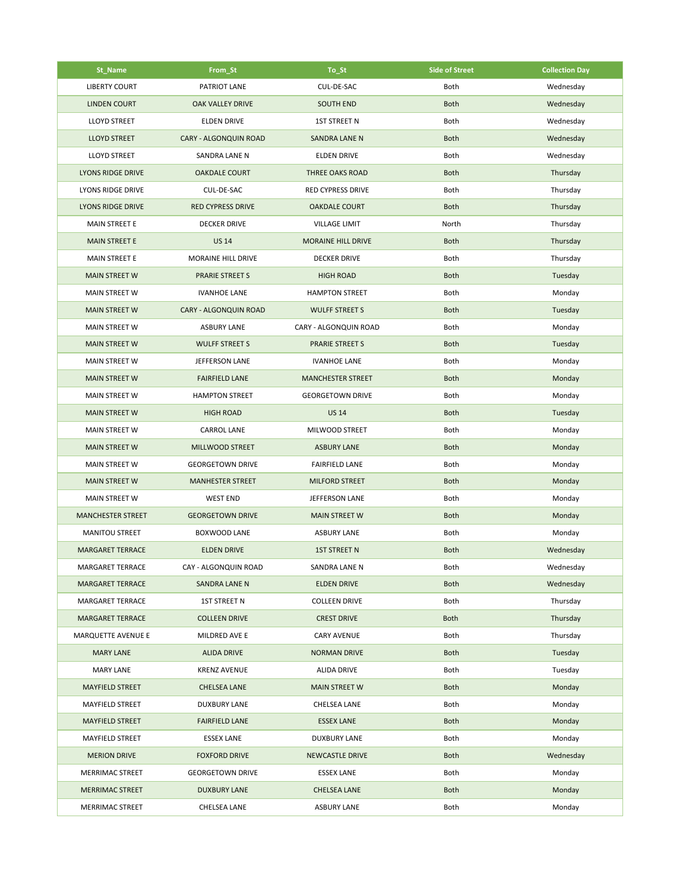| St_Name                  | From_St                  | To_St                     | <b>Side of Street</b> | <b>Collection Day</b> |
|--------------------------|--------------------------|---------------------------|-----------------------|-----------------------|
| <b>LIBERTY COURT</b>     | PATRIOT LANE             | CUL-DE-SAC                | Both                  | Wednesday             |
| <b>LINDEN COURT</b>      | <b>OAK VALLEY DRIVE</b>  | <b>SOUTH END</b>          | <b>Both</b>           | Wednesday             |
| <b>LLOYD STREET</b>      | <b>ELDEN DRIVE</b>       | <b>1ST STREET N</b>       | Both                  | Wednesday             |
| <b>LLOYD STREET</b>      | CARY - ALGONQUIN ROAD    | <b>SANDRA LANE N</b>      | <b>Both</b>           | Wednesday             |
| <b>LLOYD STREET</b>      | SANDRA LANE N            | <b>ELDEN DRIVE</b>        | Both                  | Wednesday             |
| <b>LYONS RIDGE DRIVE</b> | <b>OAKDALE COURT</b>     | <b>THREE OAKS ROAD</b>    | <b>Both</b>           | Thursday              |
| LYONS RIDGE DRIVE        | CUL-DE-SAC               | <b>RED CYPRESS DRIVE</b>  | Both                  | Thursday              |
| <b>LYONS RIDGE DRIVE</b> | <b>RED CYPRESS DRIVE</b> | <b>OAKDALE COURT</b>      | <b>Both</b>           | Thursday              |
| <b>MAIN STREET E</b>     | <b>DECKER DRIVE</b>      | <b>VILLAGE LIMIT</b>      | North                 | Thursday              |
| <b>MAIN STREET E</b>     | <b>US 14</b>             | <b>MORAINE HILL DRIVE</b> | <b>Both</b>           | Thursday              |
| MAIN STREET E            | MORAINE HILL DRIVE       | <b>DECKER DRIVE</b>       | Both                  | Thursday              |
| <b>MAIN STREET W</b>     | <b>PRARIE STREET S</b>   | <b>HIGH ROAD</b>          | <b>Both</b>           | Tuesday               |
| <b>MAIN STREET W</b>     | <b>IVANHOE LANE</b>      | <b>HAMPTON STREET</b>     | Both                  | Monday                |
| <b>MAIN STREET W</b>     | CARY - ALGONQUIN ROAD    | <b>WULFF STREET S</b>     | <b>Both</b>           | Tuesday               |
| <b>MAIN STREET W</b>     | <b>ASBURY LANE</b>       | CARY - ALGONQUIN ROAD     | Both                  | Monday                |
| <b>MAIN STREET W</b>     | <b>WULFF STREET S</b>    | <b>PRARIE STREET S</b>    | <b>Both</b>           | Tuesday               |
| <b>MAIN STREET W</b>     | JEFFERSON LANE           | <b>IVANHOE LANE</b>       | Both                  | Monday                |
| <b>MAIN STREET W</b>     | <b>FAIRFIELD LANE</b>    | <b>MANCHESTER STREET</b>  | <b>Both</b>           | Monday                |
| <b>MAIN STREET W</b>     | <b>HAMPTON STREET</b>    | <b>GEORGETOWN DRIVE</b>   | Both                  | Monday                |
| <b>MAIN STREET W</b>     | <b>HIGH ROAD</b>         | <b>US 14</b>              | <b>Both</b>           | Tuesday               |
| <b>MAIN STREET W</b>     | <b>CARROL LANE</b>       | MILWOOD STREET            | Both                  | Monday                |
| <b>MAIN STREET W</b>     | MILLWOOD STREET          | <b>ASBURY LANE</b>        | <b>Both</b>           | Monday                |
| <b>MAIN STREET W</b>     | <b>GEORGETOWN DRIVE</b>  | <b>FAIRFIELD LANE</b>     | Both                  | Monday                |
| <b>MAIN STREET W</b>     | <b>MANHESTER STREET</b>  | <b>MILFORD STREET</b>     | <b>Both</b>           | Monday                |
| <b>MAIN STREET W</b>     | <b>WEST END</b>          | JEFFERSON LANE            | Both                  | Monday                |
| <b>MANCHESTER STREET</b> | <b>GEORGETOWN DRIVE</b>  | <b>MAIN STREET W</b>      | <b>Both</b>           | Monday                |
| <b>MANITOU STREET</b>    | <b>BOXWOOD LANE</b>      | <b>ASBURY LANE</b>        | Both                  | Monday                |
| <b>MARGARET TERRACE</b>  | <b>ELDEN DRIVE</b>       | <b>1ST STREET N</b>       | <b>Both</b>           | Wednesday             |
| MARGARET TERRACE         | CAY - ALGONQUIN ROAD     | SANDRA LANE N             | Both                  | Wednesday             |
| <b>MARGARET TERRACE</b>  | <b>SANDRA LANE N</b>     | <b>ELDEN DRIVE</b>        | <b>Both</b>           | Wednesday             |
| MARGARET TERRACE         | 1ST STREET N             | <b>COLLEEN DRIVE</b>      | Both                  | Thursday              |
| <b>MARGARET TERRACE</b>  | <b>COLLEEN DRIVE</b>     | <b>CREST DRIVE</b>        | <b>Both</b>           | Thursday              |
| MARQUETTE AVENUE E       | MILDRED AVE E            | <b>CARY AVENUE</b>        | Both                  | Thursday              |
| <b>MARY LANE</b>         | <b>ALIDA DRIVE</b>       | <b>NORMAN DRIVE</b>       | <b>Both</b>           | Tuesday               |
| MARY LANE                | KRENZ AVENUE             | ALIDA DRIVE               | Both                  | Tuesday               |
| <b>MAYFIELD STREET</b>   | <b>CHELSEA LANE</b>      | <b>MAIN STREET W</b>      | <b>Both</b>           | Monday                |
| MAYFIELD STREET          | <b>DUXBURY LANE</b>      | CHELSEA LANE              | Both                  | Monday                |
| <b>MAYFIELD STREET</b>   | <b>FAIRFIELD LANE</b>    | <b>ESSEX LANE</b>         | <b>Both</b>           | Monday                |
| MAYFIELD STREET          | <b>ESSEX LANE</b>        | <b>DUXBURY LANE</b>       | Both                  | Monday                |
| <b>MERION DRIVE</b>      | <b>FOXFORD DRIVE</b>     | <b>NEWCASTLE DRIVE</b>    | <b>Both</b>           | Wednesday             |
| MERRIMAC STREET          | <b>GEORGETOWN DRIVE</b>  | <b>ESSEX LANE</b>         | Both                  | Monday                |
| <b>MERRIMAC STREET</b>   | <b>DUXBURY LANE</b>      | <b>CHELSEA LANE</b>       | <b>Both</b>           | Monday                |
| MERRIMAC STREET          | <b>CHELSEA LANE</b>      | <b>ASBURY LANE</b>        | Both                  | Monday                |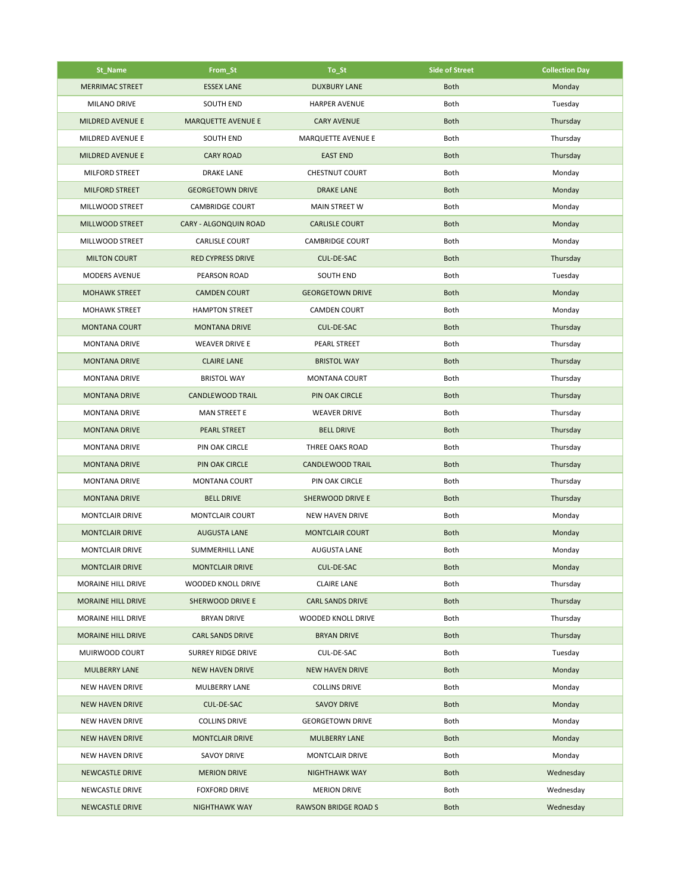| St_Name                   | From_St                   | To_St                       | <b>Side of Street</b> | <b>Collection Day</b> |
|---------------------------|---------------------------|-----------------------------|-----------------------|-----------------------|
| <b>MERRIMAC STREET</b>    | <b>ESSEX LANE</b>         | <b>DUXBURY LANE</b>         | <b>Both</b>           | Monday                |
| MILANO DRIVE              | SOUTH END                 | <b>HARPER AVENUE</b>        | Both                  | Tuesday               |
| <b>MILDRED AVENUE E</b>   | <b>MARQUETTE AVENUE E</b> | <b>CARY AVENUE</b>          | <b>Both</b>           | Thursday              |
| MILDRED AVENUE E          | <b>SOUTH END</b>          | MARQUETTE AVENUE E          | Both                  | Thursday              |
| MILDRED AVENUE E          | <b>CARY ROAD</b>          | <b>EAST END</b>             | <b>Both</b>           | Thursday              |
| MILFORD STREET            | <b>DRAKE LANE</b>         | <b>CHESTNUT COURT</b>       | Both                  | Monday                |
| <b>MILFORD STREET</b>     | <b>GEORGETOWN DRIVE</b>   | <b>DRAKE LANE</b>           | <b>Both</b>           | Monday                |
| MILLWOOD STREET           | <b>CAMBRIDGE COURT</b>    | <b>MAIN STREET W</b>        | Both                  | Monday                |
| MILLWOOD STREET           | CARY - ALGONQUIN ROAD     | <b>CARLISLE COURT</b>       | <b>Both</b>           | Monday                |
| MILLWOOD STREET           | <b>CARLISLE COURT</b>     | <b>CAMBRIDGE COURT</b>      | Both                  | Monday                |
| <b>MILTON COURT</b>       | <b>RED CYPRESS DRIVE</b>  | CUL-DE-SAC                  | <b>Both</b>           | Thursday              |
| <b>MODERS AVENUE</b>      | PEARSON ROAD              | SOUTH END                   | Both                  | Tuesday               |
| <b>MOHAWK STREET</b>      | <b>CAMDEN COURT</b>       | <b>GEORGETOWN DRIVE</b>     | <b>Both</b>           | Monday                |
| <b>MOHAWK STREET</b>      | <b>HAMPTON STREET</b>     | <b>CAMDEN COURT</b>         | Both                  | Monday                |
| <b>MONTANA COURT</b>      | <b>MONTANA DRIVE</b>      | CUL-DE-SAC                  | <b>Both</b>           | Thursday              |
| <b>MONTANA DRIVE</b>      | <b>WEAVER DRIVE E</b>     | <b>PEARL STREET</b>         | Both                  | Thursday              |
| <b>MONTANA DRIVE</b>      | <b>CLAIRE LANE</b>        | <b>BRISTOL WAY</b>          | <b>Both</b>           | Thursday              |
| <b>MONTANA DRIVE</b>      | <b>BRISTOL WAY</b>        | <b>MONTANA COURT</b>        | Both                  | Thursday              |
| <b>MONTANA DRIVE</b>      | <b>CANDLEWOOD TRAIL</b>   | PIN OAK CIRCLE              | <b>Both</b>           | Thursday              |
| <b>MONTANA DRIVE</b>      | MAN STREET E              | <b>WEAVER DRIVE</b>         | Both                  | Thursday              |
| <b>MONTANA DRIVE</b>      | <b>PEARL STREET</b>       | <b>BELL DRIVE</b>           | <b>Both</b>           | Thursday              |
| <b>MONTANA DRIVE</b>      | PIN OAK CIRCLE            | THREE OAKS ROAD             | Both                  | Thursday              |
| <b>MONTANA DRIVE</b>      | PIN OAK CIRCLE            | CANDLEWOOD TRAIL            | <b>Both</b>           | Thursday              |
| <b>MONTANA DRIVE</b>      | <b>MONTANA COURT</b>      | PIN OAK CIRCLE              | Both                  | Thursday              |
| <b>MONTANA DRIVE</b>      | <b>BELL DRIVE</b>         | <b>SHERWOOD DRIVE E</b>     | <b>Both</b>           | Thursday              |
| <b>MONTCLAIR DRIVE</b>    | MONTCLAIR COURT           | <b>NEW HAVEN DRIVE</b>      | Both                  | Monday                |
| <b>MONTCLAIR DRIVE</b>    | <b>AUGUSTA LANE</b>       | <b>MONTCLAIR COURT</b>      | <b>Both</b>           | Monday                |
| <b>MONTCLAIR DRIVE</b>    | SUMMERHILL LANE           | <b>AUGUSTA LANE</b>         | Both                  | Monday                |
| <b>MONTCLAIR DRIVE</b>    | <b>MONTCLAIR DRIVE</b>    | CUL-DE-SAC                  | Both                  | Monday                |
| MORAINE HILL DRIVE        | <b>WOODED KNOLL DRIVE</b> | <b>CLAIRE LANE</b>          | Both                  | Thursday              |
| <b>MORAINE HILL DRIVE</b> | SHERWOOD DRIVE E          | <b>CARL SANDS DRIVE</b>     | <b>Both</b>           | Thursday              |
| MORAINE HILL DRIVE        | <b>BRYAN DRIVE</b>        | WOODED KNOLL DRIVE          | Both                  | Thursday              |
| MORAINE HILL DRIVE        | <b>CARL SANDS DRIVE</b>   | <b>BRYAN DRIVE</b>          | <b>Both</b>           | Thursday              |
| MUIRWOOD COURT            | SURREY RIDGE DRIVE        | CUL-DE-SAC                  | Both                  | Tuesday               |
| <b>MULBERRY LANE</b>      | <b>NEW HAVEN DRIVE</b>    | <b>NEW HAVEN DRIVE</b>      | <b>Both</b>           | Monday                |
| <b>NEW HAVEN DRIVE</b>    | MULBERRY LANE             | <b>COLLINS DRIVE</b>        | Both                  | Monday                |
| <b>NEW HAVEN DRIVE</b>    | CUL-DE-SAC                | <b>SAVOY DRIVE</b>          | <b>Both</b>           | Monday                |
| <b>NEW HAVEN DRIVE</b>    | <b>COLLINS DRIVE</b>      | <b>GEORGETOWN DRIVE</b>     | Both                  | Monday                |
| <b>NEW HAVEN DRIVE</b>    | <b>MONTCLAIR DRIVE</b>    | <b>MULBERRY LANE</b>        | <b>Both</b>           | Monday                |
| <b>NEW HAVEN DRIVE</b>    | SAVOY DRIVE               | <b>MONTCLAIR DRIVE</b>      | Both                  | Monday                |
| <b>NEWCASTLE DRIVE</b>    | <b>MERION DRIVE</b>       | <b>NIGHTHAWK WAY</b>        | <b>Both</b>           | Wednesday             |
| NEWCASTLE DRIVE           | <b>FOXFORD DRIVE</b>      | <b>MERION DRIVE</b>         | Both                  | Wednesday             |
| <b>NEWCASTLE DRIVE</b>    | <b>NIGHTHAWK WAY</b>      | <b>RAWSON BRIDGE ROAD S</b> | <b>Both</b>           | Wednesday             |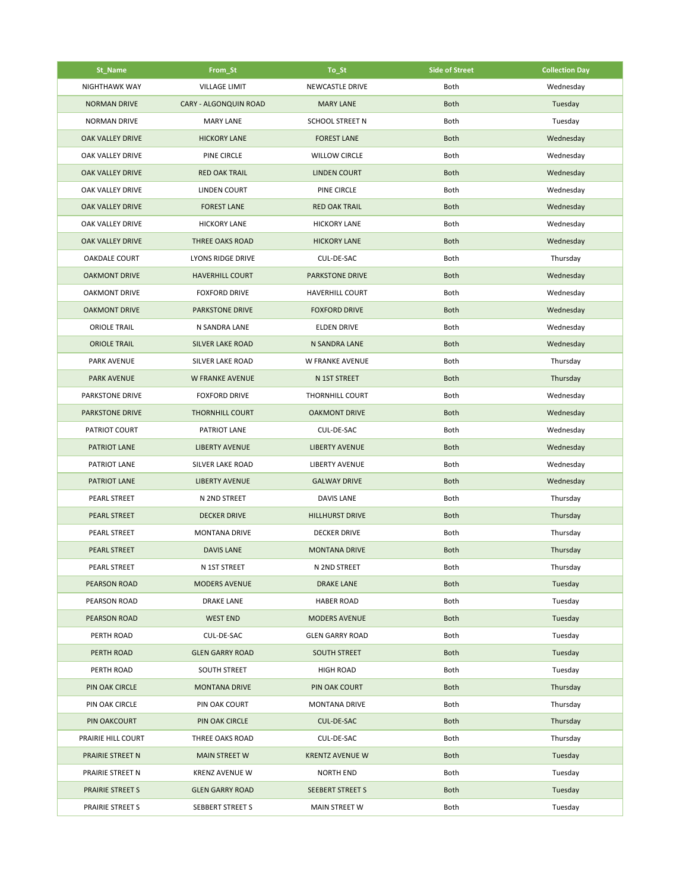| St_Name                 | From_St                 | To_St                   | <b>Side of Street</b> | <b>Collection Day</b> |
|-------------------------|-------------------------|-------------------------|-----------------------|-----------------------|
| NIGHTHAWK WAY           | <b>VILLAGE LIMIT</b>    | NEWCASTLE DRIVE         | Both                  | Wednesday             |
| <b>NORMAN DRIVE</b>     | CARY - ALGONQUIN ROAD   | <b>MARY LANE</b>        | <b>Both</b>           | Tuesday               |
| <b>NORMAN DRIVE</b>     | <b>MARY LANE</b>        | SCHOOL STREET N         | Both                  | Tuesday               |
| <b>OAK VALLEY DRIVE</b> | <b>HICKORY LANE</b>     | <b>FOREST LANE</b>      | <b>Both</b>           | Wednesday             |
| OAK VALLEY DRIVE        | PINE CIRCLE             | <b>WILLOW CIRCLE</b>    | Both                  | Wednesday             |
| OAK VALLEY DRIVE        | <b>RED OAK TRAIL</b>    | <b>LINDEN COURT</b>     | <b>Both</b>           | Wednesday             |
| OAK VALLEY DRIVE        | <b>LINDEN COURT</b>     | PINE CIRCLE             | Both                  | Wednesday             |
| <b>OAK VALLEY DRIVE</b> | <b>FOREST LANE</b>      | <b>RED OAK TRAIL</b>    | <b>Both</b>           | Wednesday             |
| OAK VALLEY DRIVE        | <b>HICKORY LANE</b>     | <b>HICKORY LANE</b>     | Both                  | Wednesday             |
| <b>OAK VALLEY DRIVE</b> | <b>THREE OAKS ROAD</b>  | <b>HICKORY LANE</b>     | <b>Both</b>           | Wednesday             |
| <b>OAKDALE COURT</b>    | LYONS RIDGE DRIVE       | CUL-DE-SAC              | Both                  | Thursday              |
| <b>OAKMONT DRIVE</b>    | <b>HAVERHILL COURT</b>  | <b>PARKSTONE DRIVE</b>  | <b>Both</b>           | Wednesday             |
| <b>OAKMONT DRIVE</b>    | <b>FOXFORD DRIVE</b>    | <b>HAVERHILL COURT</b>  | Both                  | Wednesday             |
| <b>OAKMONT DRIVE</b>    | <b>PARKSTONE DRIVE</b>  | <b>FOXFORD DRIVE</b>    | <b>Both</b>           | Wednesday             |
| <b>ORIOLE TRAIL</b>     | N SANDRA LANE           | <b>ELDEN DRIVE</b>      | Both                  | Wednesday             |
| <b>ORIOLE TRAIL</b>     | <b>SILVER LAKE ROAD</b> | N SANDRA LANE           | <b>Both</b>           | Wednesday             |
| <b>PARK AVENUE</b>      | SILVER LAKE ROAD        | W FRANKE AVENUE         | Both                  | Thursday              |
| <b>PARK AVENUE</b>      | W FRANKE AVENUE         | N 1ST STREET            | <b>Both</b>           | Thursday              |
| PARKSTONE DRIVE         | <b>FOXFORD DRIVE</b>    | <b>THORNHILL COURT</b>  | Both                  | Wednesday             |
| <b>PARKSTONE DRIVE</b>  | <b>THORNHILL COURT</b>  | <b>OAKMONT DRIVE</b>    | <b>Both</b>           | Wednesday             |
| PATRIOT COURT           | PATRIOT LANE            | CUL-DE-SAC              | Both                  | Wednesday             |
| PATRIOT LANE            | <b>LIBERTY AVENUE</b>   | <b>LIBERTY AVENUE</b>   | <b>Both</b>           | Wednesday             |
| PATRIOT LANE            | SILVER LAKE ROAD        | <b>LIBERTY AVENUE</b>   | Both                  | Wednesday             |
| PATRIOT LANE            | <b>LIBERTY AVENUE</b>   | <b>GALWAY DRIVE</b>     | <b>Both</b>           | Wednesday             |
| PEARL STREET            | N 2ND STREET            | <b>DAVIS LANE</b>       | Both                  | Thursday              |
| PEARL STREET            | <b>DECKER DRIVE</b>     | <b>HILLHURST DRIVE</b>  | <b>Both</b>           | Thursday              |
| PEARL STREET            | <b>MONTANA DRIVE</b>    | <b>DECKER DRIVE</b>     | Both                  | Thursday              |
| <b>PEARL STREET</b>     | <b>DAVIS LANE</b>       | <b>MONTANA DRIVE</b>    | <b>Both</b>           | Thursday              |
| PEARL STREET            | N 1ST STREET            | N 2ND STREET            | Both                  | Thursday              |
| <b>PEARSON ROAD</b>     | <b>MODERS AVENUE</b>    | <b>DRAKE LANE</b>       | <b>Both</b>           | Tuesday               |
| PEARSON ROAD            | <b>DRAKE LANE</b>       | <b>HABER ROAD</b>       | Both                  | Tuesday               |
| <b>PEARSON ROAD</b>     | <b>WEST END</b>         | <b>MODERS AVENUE</b>    | <b>Both</b>           | Tuesday               |
| PERTH ROAD              | CUL-DE-SAC              | <b>GLEN GARRY ROAD</b>  | Both                  | Tuesday               |
| PERTH ROAD              | <b>GLEN GARRY ROAD</b>  | <b>SOUTH STREET</b>     | <b>Both</b>           | Tuesday               |
| PERTH ROAD              | SOUTH STREET            | <b>HIGH ROAD</b>        | Both                  | Tuesday               |
| PIN OAK CIRCLE          | <b>MONTANA DRIVE</b>    | PIN OAK COURT           | <b>Both</b>           | Thursday              |
| PIN OAK CIRCLE          | PIN OAK COURT           | <b>MONTANA DRIVE</b>    | Both                  | Thursday              |
| PIN OAKCOURT            | PIN OAK CIRCLE          | CUL-DE-SAC              | <b>Both</b>           | Thursday              |
| PRAIRIE HILL COURT      | THREE OAKS ROAD         | CUL-DE-SAC              | Both                  | Thursday              |
| PRAIRIE STREET N        | <b>MAIN STREET W</b>    | <b>KRENTZ AVENUE W</b>  | <b>Both</b>           | Tuesday               |
| PRAIRIE STREET N        | <b>KRENZ AVENUE W</b>   | <b>NORTH END</b>        | Both                  | Tuesday               |
| <b>PRAIRIE STREET S</b> | <b>GLEN GARRY ROAD</b>  | <b>SEEBERT STREET S</b> | <b>Both</b>           | Tuesday               |
| PRAIRIE STREET S        | SEBBERT STREET S        | MAIN STREET W           | Both                  | Tuesday               |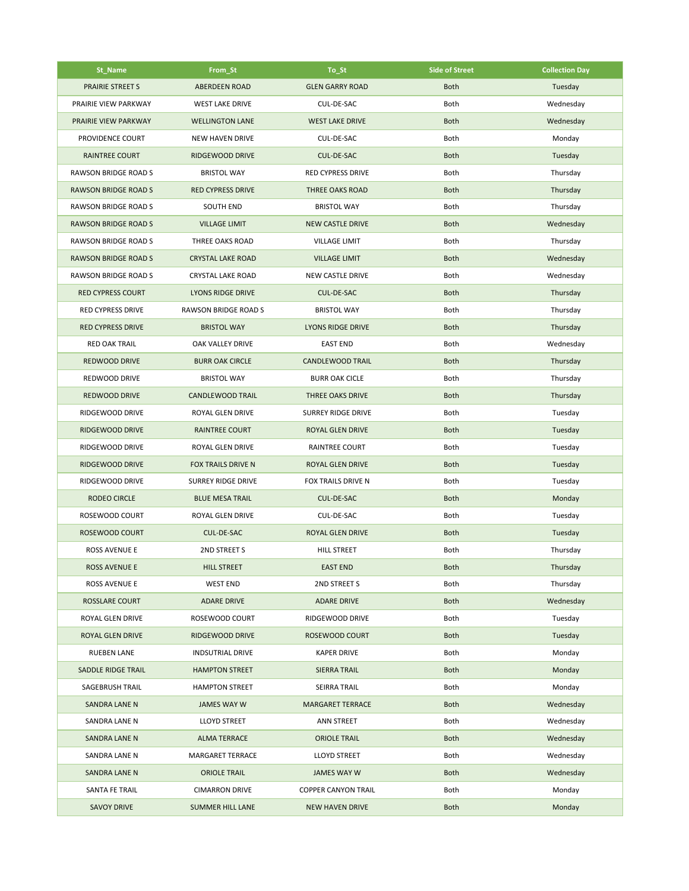| St_Name                     | From_St                     | To_St                      | <b>Side of Street</b> | <b>Collection Day</b> |
|-----------------------------|-----------------------------|----------------------------|-----------------------|-----------------------|
| <b>PRAIRIE STREET S</b>     | <b>ABERDEEN ROAD</b>        | <b>GLEN GARRY ROAD</b>     | <b>Both</b>           | Tuesday               |
| PRAIRIE VIEW PARKWAY        | <b>WEST LAKE DRIVE</b>      | CUL-DE-SAC                 | Both                  | Wednesday             |
| PRAIRIE VIEW PARKWAY        | <b>WELLINGTON LANE</b>      | <b>WEST LAKE DRIVE</b>     | <b>Both</b>           | Wednesday             |
| PROVIDENCE COURT            | <b>NEW HAVEN DRIVE</b>      | CUL-DE-SAC                 | Both                  | Monday                |
| <b>RAINTREE COURT</b>       | RIDGEWOOD DRIVE             | CUL-DE-SAC                 | <b>Both</b>           | Tuesday               |
| RAWSON BRIDGE ROAD S        | <b>BRISTOL WAY</b>          | <b>RED CYPRESS DRIVE</b>   | Both                  | Thursday              |
| <b>RAWSON BRIDGE ROAD S</b> | <b>RED CYPRESS DRIVE</b>    | <b>THREE OAKS ROAD</b>     | <b>Both</b>           | Thursday              |
| <b>RAWSON BRIDGE ROAD S</b> | <b>SOUTH END</b>            | <b>BRISTOL WAY</b>         | Both                  | Thursday              |
| <b>RAWSON BRIDGE ROAD S</b> | <b>VILLAGE LIMIT</b>        | <b>NEW CASTLE DRIVE</b>    | <b>Both</b>           | Wednesday             |
| <b>RAWSON BRIDGE ROAD S</b> | THREE OAKS ROAD             | <b>VILLAGE LIMIT</b>       | Both                  | Thursday              |
| <b>RAWSON BRIDGE ROAD S</b> | <b>CRYSTAL LAKE ROAD</b>    | <b>VILLAGE LIMIT</b>       | <b>Both</b>           | Wednesday             |
| RAWSON BRIDGE ROAD S        | <b>CRYSTAL LAKE ROAD</b>    | NEW CASTLE DRIVE           | Both                  | Wednesday             |
| <b>RED CYPRESS COURT</b>    | <b>LYONS RIDGE DRIVE</b>    | <b>CUL-DE-SAC</b>          | <b>Both</b>           | Thursday              |
| <b>RED CYPRESS DRIVE</b>    | <b>RAWSON BRIDGE ROAD S</b> | <b>BRISTOL WAY</b>         | Both                  | Thursday              |
| <b>RED CYPRESS DRIVE</b>    | <b>BRISTOL WAY</b>          | <b>LYONS RIDGE DRIVE</b>   | <b>Both</b>           | Thursday              |
| <b>RED OAK TRAIL</b>        | OAK VALLEY DRIVE            | <b>EAST END</b>            | Both                  | Wednesday             |
| REDWOOD DRIVE               | <b>BURR OAK CIRCLE</b>      | <b>CANDLEWOOD TRAIL</b>    | <b>Both</b>           | Thursday              |
| REDWOOD DRIVE               | <b>BRISTOL WAY</b>          | <b>BURR OAK CICLE</b>      | Both                  | Thursday              |
| <b>REDWOOD DRIVE</b>        | <b>CANDLEWOOD TRAIL</b>     | THREE OAKS DRIVE           | <b>Both</b>           | Thursday              |
| RIDGEWOOD DRIVE             | ROYAL GLEN DRIVE            | SURREY RIDGE DRIVE         | Both                  | Tuesday               |
| RIDGEWOOD DRIVE             | <b>RAINTREE COURT</b>       | ROYAL GLEN DRIVE           | <b>Both</b>           | Tuesday               |
| RIDGEWOOD DRIVE             | ROYAL GLEN DRIVE            | RAINTREE COURT             | Both                  | Tuesday               |
| RIDGEWOOD DRIVE             | FOX TRAILS DRIVE N          | ROYAL GLEN DRIVE           | <b>Both</b>           | Tuesday               |
| RIDGEWOOD DRIVE             | SURREY RIDGE DRIVE          | FOX TRAILS DRIVE N         | Both                  | Tuesday               |
| <b>RODEO CIRCLE</b>         | <b>BLUE MESA TRAIL</b>      | CUL-DE-SAC                 | <b>Both</b>           | Monday                |
| ROSEWOOD COURT              | ROYAL GLEN DRIVE            | CUL-DE-SAC                 | Both                  | Tuesday               |
| ROSEWOOD COURT              | CUL-DE-SAC                  | <b>ROYAL GLEN DRIVE</b>    | <b>Both</b>           | Tuesday               |
| <b>ROSS AVENUE E</b>        | 2ND STREET S                | <b>HILL STREET</b>         | Both                  | Thursday              |
| <b>ROSS AVENUE E</b>        | <b>HILL STREET</b>          | <b>EAST END</b>            | Both                  | Thursday              |
| ROSS AVENUE E               | <b>WEST END</b>             | 2ND STREET S               | Both                  | Thursday              |
| ROSSLARE COURT              | <b>ADARE DRIVE</b>          | <b>ADARE DRIVE</b>         | <b>Both</b>           | Wednesday             |
| ROYAL GLEN DRIVE            | ROSEWOOD COURT              | RIDGEWOOD DRIVE            | Both                  | Tuesday               |
| ROYAL GLEN DRIVE            | RIDGEWOOD DRIVE             | ROSEWOOD COURT             | <b>Both</b>           | Tuesday               |
| <b>RUEBEN LANE</b>          | <b>INDSUTRIAL DRIVE</b>     | <b>KAPER DRIVE</b>         | Both                  | Monday                |
| SADDLE RIDGE TRAIL          | <b>HAMPTON STREET</b>       | <b>SIERRA TRAIL</b>        | <b>Both</b>           | Monday                |
| SAGEBRUSH TRAIL             | <b>HAMPTON STREET</b>       | SEIRRA TRAIL               | Both                  | Monday                |
| <b>SANDRA LANE N</b>        | JAMES WAY W                 | <b>MARGARET TERRACE</b>    | <b>Both</b>           | Wednesday             |
| SANDRA LANE N               | <b>LLOYD STREET</b>         | <b>ANN STREET</b>          | <b>Both</b>           | Wednesday             |
| <b>SANDRA LANE N</b>        | <b>ALMA TERRACE</b>         | <b>ORIOLE TRAIL</b>        | <b>Both</b>           | Wednesday             |
| SANDRA LANE N               | <b>MARGARET TERRACE</b>     | <b>LLOYD STREET</b>        | Both                  | Wednesday             |
| <b>SANDRA LANE N</b>        | <b>ORIOLE TRAIL</b>         | <b>JAMES WAY W</b>         | <b>Both</b>           | Wednesday             |
| SANTA FE TRAIL              | <b>CIMARRON DRIVE</b>       | <b>COPPER CANYON TRAIL</b> | Both                  | Monday                |
| <b>SAVOY DRIVE</b>          | <b>SUMMER HILL LANE</b>     | <b>NEW HAVEN DRIVE</b>     | <b>Both</b>           | Monday                |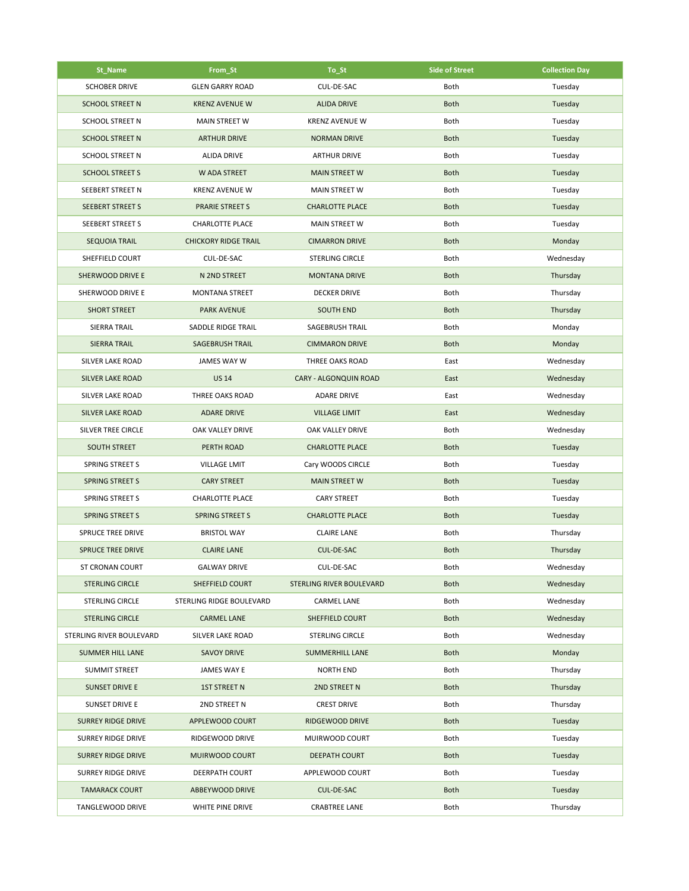| St_Name                   | From_St                     | To_St                        | <b>Side of Street</b> | <b>Collection Day</b> |
|---------------------------|-----------------------------|------------------------------|-----------------------|-----------------------|
| <b>SCHOBER DRIVE</b>      | <b>GLEN GARRY ROAD</b>      | CUL-DE-SAC                   | Both                  | Tuesday               |
| <b>SCHOOL STREET N</b>    | <b>KRENZ AVENUE W</b>       | <b>ALIDA DRIVE</b>           | <b>Both</b>           | Tuesday               |
| <b>SCHOOL STREET N</b>    | <b>MAIN STREET W</b>        | <b>KRENZ AVENUE W</b>        | Both                  | Tuesday               |
| <b>SCHOOL STREET N</b>    | <b>ARTHUR DRIVE</b>         | <b>NORMAN DRIVE</b>          | <b>Both</b>           | Tuesday               |
| <b>SCHOOL STREET N</b>    | <b>ALIDA DRIVE</b>          | <b>ARTHUR DRIVE</b>          | Both                  | Tuesday               |
| <b>SCHOOL STREET S</b>    | W ADA STREET                | <b>MAIN STREET W</b>         | <b>Both</b>           | Tuesday               |
| SEEBERT STREET N          | <b>KRENZ AVENUE W</b>       | MAIN STREET W                | Both                  | Tuesday               |
| <b>SEEBERT STREET S</b>   | <b>PRARIE STREET S</b>      | <b>CHARLOTTE PLACE</b>       | <b>Both</b>           | Tuesday               |
| SEEBERT STREET S          | <b>CHARLOTTE PLACE</b>      | MAIN STREET W                | Both                  | Tuesday               |
| <b>SEQUOIA TRAIL</b>      | <b>CHICKORY RIDGE TRAIL</b> | <b>CIMARRON DRIVE</b>        | <b>Both</b>           | Monday                |
| SHEFFIELD COURT           | CUL-DE-SAC                  | <b>STERLING CIRCLE</b>       | Both                  | Wednesday             |
| SHERWOOD DRIVE E          | N 2ND STREET                | <b>MONTANA DRIVE</b>         | <b>Both</b>           | Thursday              |
| SHERWOOD DRIVE E          | <b>MONTANA STREET</b>       | <b>DECKER DRIVE</b>          | Both                  | Thursday              |
| <b>SHORT STREET</b>       | <b>PARK AVENUE</b>          | <b>SOUTH END</b>             | <b>Both</b>           | Thursday              |
| SIERRA TRAIL              | SADDLE RIDGE TRAIL          | SAGEBRUSH TRAIL              | Both                  | Monday                |
| <b>SIERRA TRAIL</b>       | <b>SAGEBRUSH TRAIL</b>      | <b>CIMMARON DRIVE</b>        | <b>Both</b>           | Monday                |
| SILVER LAKE ROAD          | JAMES WAY W                 | THREE OAKS ROAD              | East                  | Wednesday             |
| <b>SILVER LAKE ROAD</b>   | <b>US 14</b>                | <b>CARY - ALGONQUIN ROAD</b> | East                  | Wednesday             |
| SILVER LAKE ROAD          | THREE OAKS ROAD             | <b>ADARE DRIVE</b>           | East                  | Wednesday             |
| <b>SILVER LAKE ROAD</b>   | <b>ADARE DRIVE</b>          | <b>VILLAGE LIMIT</b>         | East                  | Wednesday             |
| SILVER TREE CIRCLE        | OAK VALLEY DRIVE            | OAK VALLEY DRIVE             | Both                  | Wednesday             |
| <b>SOUTH STREET</b>       | PERTH ROAD                  | <b>CHARLOTTE PLACE</b>       | <b>Both</b>           | Tuesday               |
| <b>SPRING STREET S</b>    | <b>VILLAGE LMIT</b>         | Cary WOODS CIRCLE            | Both                  | Tuesday               |
| <b>SPRING STREET S</b>    | <b>CARY STREET</b>          | <b>MAIN STREET W</b>         | <b>Both</b>           | Tuesday               |
| SPRING STREET S           | <b>CHARLOTTE PLACE</b>      | <b>CARY STREET</b>           | Both                  | Tuesday               |
| <b>SPRING STREET S</b>    | <b>SPRING STREET S</b>      | <b>CHARLOTTE PLACE</b>       | <b>Both</b>           | Tuesday               |
| SPRUCE TREE DRIVE         | <b>BRISTOL WAY</b>          | <b>CLAIRE LANE</b>           | Both                  | Thursday              |
| <b>SPRUCE TREE DRIVE</b>  | <b>CLAIRE LANE</b>          | <b>CUL-DE-SAC</b>            | <b>Both</b>           | Thursday              |
| ST CRONAN COURT           | GALWAY DRIVE                | CUL-DE-SAC                   | Both                  | Wednesday             |
| <b>STERLING CIRCLE</b>    | SHEFFIELD COURT             | STERLING RIVER BOULEVARD     | <b>Both</b>           | Wednesday             |
| <b>STERLING CIRCLE</b>    | STERLING RIDGE BOULEVARD    | <b>CARMEL LANE</b>           | Both                  | Wednesday             |
| <b>STERLING CIRCLE</b>    | <b>CARMEL LANE</b>          | SHEFFIELD COURT              | <b>Both</b>           | Wednesday             |
| STERLING RIVER BOULEVARD  | SILVER LAKE ROAD            | STERLING CIRCLE              | Both                  | Wednesday             |
| <b>SUMMER HILL LANE</b>   | <b>SAVOY DRIVE</b>          | <b>SUMMERHILL LANE</b>       | <b>Both</b>           | Monday                |
| <b>SUMMIT STREET</b>      | JAMES WAY E                 | <b>NORTH END</b>             | Both                  | Thursday              |
| <b>SUNSET DRIVE E</b>     | <b>1ST STREET N</b>         | 2ND STREET N                 | <b>Both</b>           | Thursday              |
| SUNSET DRIVE E            | 2ND STREET N                | <b>CREST DRIVE</b>           | Both                  | Thursday              |
| <b>SURREY RIDGE DRIVE</b> | APPLEWOOD COURT             | RIDGEWOOD DRIVE              | <b>Both</b>           | Tuesday               |
| SURREY RIDGE DRIVE        | RIDGEWOOD DRIVE             | MUIRWOOD COURT               | Both                  | Tuesday               |
| <b>SURREY RIDGE DRIVE</b> | MUIRWOOD COURT              | <b>DEEPATH COURT</b>         | <b>Both</b>           | Tuesday               |
| SURREY RIDGE DRIVE        | DEERPATH COURT              | APPLEWOOD COURT              | Both                  | Tuesday               |
| <b>TAMARACK COURT</b>     | ABBEYWOOD DRIVE             | CUL-DE-SAC                   | <b>Both</b>           | Tuesday               |
| TANGLEWOOD DRIVE          | WHITE PINE DRIVE            | <b>CRABTREE LANE</b>         | Both                  | Thursday              |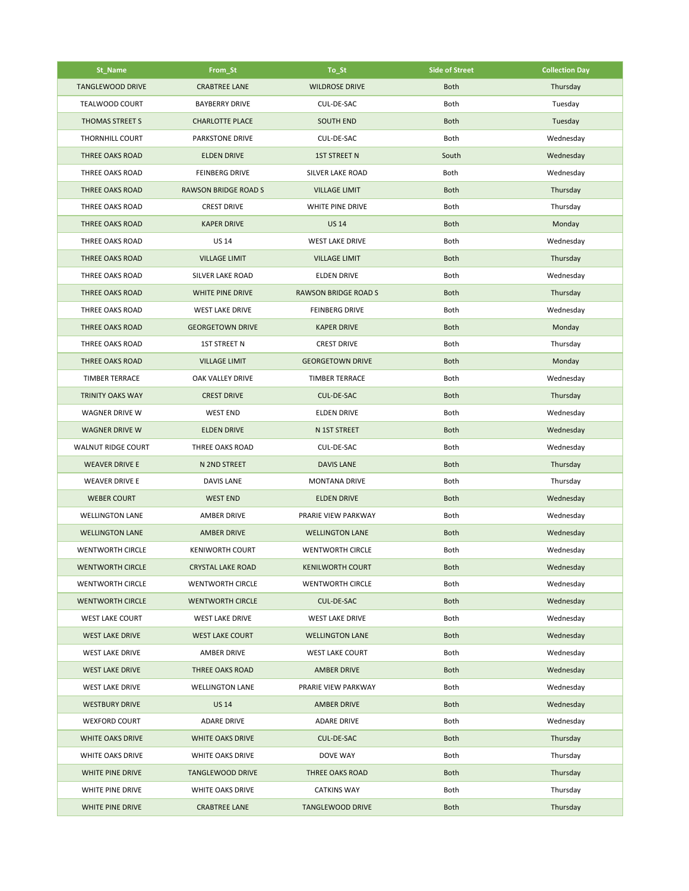| St_Name                   | From_St                     | To_St                       | <b>Side of Street</b> | <b>Collection Day</b> |
|---------------------------|-----------------------------|-----------------------------|-----------------------|-----------------------|
| <b>TANGLEWOOD DRIVE</b>   | <b>CRABTREE LANE</b>        | <b>WILDROSE DRIVE</b>       | <b>Both</b>           | Thursday              |
| <b>TEALWOOD COURT</b>     | <b>BAYBERRY DRIVE</b>       | CUL-DE-SAC                  | Both                  | Tuesday               |
| THOMAS STREET S           | <b>CHARLOTTE PLACE</b>      | <b>SOUTH END</b>            | <b>Both</b>           | Tuesday               |
| <b>THORNHILL COURT</b>    | <b>PARKSTONE DRIVE</b>      | CUL-DE-SAC                  | Both                  | Wednesday             |
| THREE OAKS ROAD           | <b>ELDEN DRIVE</b>          | <b>1ST STREET N</b>         | South                 | Wednesday             |
| <b>THREE OAKS ROAD</b>    | <b>FEINBERG DRIVE</b>       | SILVER LAKE ROAD            | Both                  | Wednesday             |
| <b>THREE OAKS ROAD</b>    | <b>RAWSON BRIDGE ROAD S</b> | <b>VILLAGE LIMIT</b>        | <b>Both</b>           | Thursday              |
| THREE OAKS ROAD           | <b>CREST DRIVE</b>          | WHITE PINE DRIVE            | Both                  | Thursday              |
| <b>THREE OAKS ROAD</b>    | <b>KAPER DRIVE</b>          | <b>US 14</b>                | <b>Both</b>           | Monday                |
| THREE OAKS ROAD           | <b>US 14</b>                | <b>WEST LAKE DRIVE</b>      | Both                  | Wednesday             |
| THREE OAKS ROAD           | <b>VILLAGE LIMIT</b>        | <b>VILLAGE LIMIT</b>        | <b>Both</b>           | Thursday              |
| THREE OAKS ROAD           | SILVER LAKE ROAD            | <b>ELDEN DRIVE</b>          | Both                  | Wednesday             |
| <b>THREE OAKS ROAD</b>    | WHITE PINE DRIVE            | <b>RAWSON BRIDGE ROAD S</b> | <b>Both</b>           | Thursday              |
| THREE OAKS ROAD           | <b>WEST LAKE DRIVE</b>      | <b>FEINBERG DRIVE</b>       | Both                  | Wednesday             |
| <b>THREE OAKS ROAD</b>    | <b>GEORGETOWN DRIVE</b>     | <b>KAPER DRIVE</b>          | <b>Both</b>           | Monday                |
| <b>THREE OAKS ROAD</b>    | 1ST STREET N                | <b>CREST DRIVE</b>          | Both                  | Thursday              |
| <b>THREE OAKS ROAD</b>    | <b>VILLAGE LIMIT</b>        | <b>GEORGETOWN DRIVE</b>     | <b>Both</b>           | Monday                |
| <b>TIMBER TERRACE</b>     | OAK VALLEY DRIVE            | <b>TIMBER TERRACE</b>       | Both                  | Wednesday             |
| <b>TRINITY OAKS WAY</b>   | <b>CREST DRIVE</b>          | CUL-DE-SAC                  | <b>Both</b>           | Thursday              |
| WAGNER DRIVE W            | <b>WEST END</b>             | <b>ELDEN DRIVE</b>          | Both                  | Wednesday             |
| <b>WAGNER DRIVE W</b>     | <b>ELDEN DRIVE</b>          | N 1ST STREET                | <b>Both</b>           | Wednesday             |
| <b>WALNUT RIDGE COURT</b> | THREE OAKS ROAD             | CUL-DE-SAC                  | Both                  | Wednesday             |
| <b>WEAVER DRIVE E</b>     | N 2ND STREET                | <b>DAVIS LANE</b>           | <b>Both</b>           | Thursday              |
| <b>WEAVER DRIVE E</b>     | <b>DAVIS LANE</b>           | <b>MONTANA DRIVE</b>        | Both                  | Thursday              |
| <b>WEBER COURT</b>        | <b>WEST END</b>             | <b>ELDEN DRIVE</b>          | <b>Both</b>           | Wednesday             |
| <b>WELLINGTON LANE</b>    | <b>AMBER DRIVE</b>          | PRARIE VIEW PARKWAY         | Both                  | Wednesday             |
| <b>WELLINGTON LANE</b>    | <b>AMBER DRIVE</b>          | <b>WELLINGTON LANE</b>      | <b>Both</b>           | Wednesday             |
| <b>WENTWORTH CIRCLE</b>   | <b>KENIWORTH COURT</b>      | <b>WENTWORTH CIRCLE</b>     | Both                  | Wednesday             |
| <b>WENTWORTH CIRCLE</b>   | CRYSTAL LAKE ROAD           | <b>KENILWORTH COURT</b>     | Both                  | Wednesday             |
| <b>WENTWORTH CIRCLE</b>   | <b>WENTWORTH CIRCLE</b>     | <b>WENTWORTH CIRCLE</b>     | Both                  | Wednesday             |
| <b>WENTWORTH CIRCLE</b>   | <b>WENTWORTH CIRCLE</b>     | CUL-DE-SAC                  | <b>Both</b>           | Wednesday             |
| <b>WEST LAKE COURT</b>    | <b>WEST LAKE DRIVE</b>      | <b>WEST LAKE DRIVE</b>      | Both                  | Wednesday             |
| <b>WEST LAKE DRIVE</b>    | <b>WEST LAKE COURT</b>      | <b>WELLINGTON LANE</b>      | <b>Both</b>           | Wednesday             |
| <b>WEST LAKE DRIVE</b>    | <b>AMBER DRIVE</b>          | <b>WEST LAKE COURT</b>      | Both                  | Wednesday             |
| <b>WEST LAKE DRIVE</b>    | THREE OAKS ROAD             | <b>AMBER DRIVE</b>          | <b>Both</b>           | Wednesday             |
| <b>WEST LAKE DRIVE</b>    | <b>WELLINGTON LANE</b>      | PRARIE VIEW PARKWAY         | Both                  | Wednesday             |
| <b>WESTBURY DRIVE</b>     | <b>US 14</b>                | <b>AMBER DRIVE</b>          | <b>Both</b>           | Wednesday             |
| <b>WEXFORD COURT</b>      | <b>ADARE DRIVE</b>          | <b>ADARE DRIVE</b>          | Both                  | Wednesday             |
| WHITE OAKS DRIVE          | WHITE OAKS DRIVE            | CUL-DE-SAC                  | <b>Both</b>           | Thursday              |
| WHITE OAKS DRIVE          | WHITE OAKS DRIVE            | DOVE WAY                    | Both                  | Thursday              |
| WHITE PINE DRIVE          | <b>TANGLEWOOD DRIVE</b>     | THREE OAKS ROAD             | <b>Both</b>           | Thursday              |
| WHITE PINE DRIVE          | WHITE OAKS DRIVE            | <b>CATKINS WAY</b>          | Both                  | Thursday              |
| WHITE PINE DRIVE          | <b>CRABTREE LANE</b>        | <b>TANGLEWOOD DRIVE</b>     | <b>Both</b>           | Thursday              |